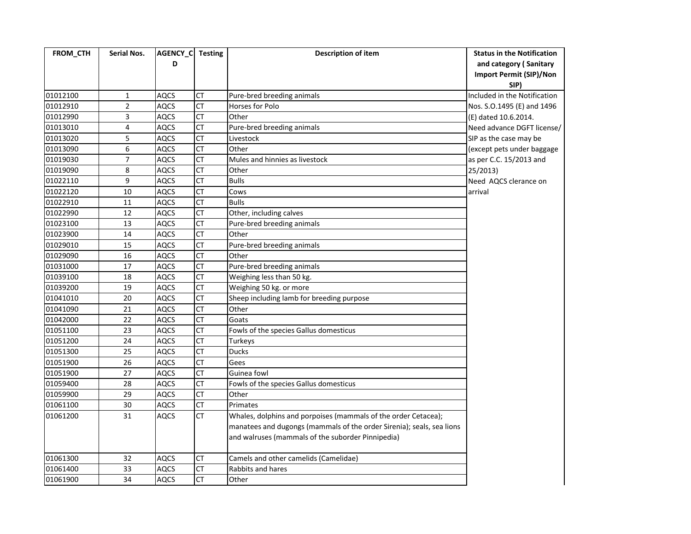| FROM_CTH | <b>Serial Nos.</b> | AGENCY_C Testing<br>D |                        | Description of item                                                   | <b>Status in the Notification</b><br>and category (Sanitary<br><b>Import Permit (SIP)/Non</b> |
|----------|--------------------|-----------------------|------------------------|-----------------------------------------------------------------------|-----------------------------------------------------------------------------------------------|
| 01012100 | 1                  | <b>AQCS</b>           | СT                     | Pure-bred breeding animals                                            | SIP)<br>Included in the Notification                                                          |
| 01012910 | $\overline{2}$     | <b>AQCS</b>           | <b>CT</b>              | Horses for Polo                                                       | Nos. S.O.1495 (E) and 1496                                                                    |
| 01012990 | 3                  | <b>AQCS</b>           | <b>CT</b>              | Other                                                                 | (E) dated 10.6.2014.                                                                          |
| 01013010 | 4                  | <b>AQCS</b>           | <b>CT</b>              | Pure-bred breeding animals                                            | Need advance DGFT license/                                                                    |
| 01013020 | 5                  | <b>AQCS</b>           | <b>CT</b>              | Livestock                                                             | SIP as the case may be                                                                        |
| 01013090 | 6                  | <b>AQCS</b>           | <b>CT</b>              | Other                                                                 | (except pets under baggage                                                                    |
| 01019030 | $\overline{7}$     | <b>AQCS</b>           | <b>CT</b>              | Mules and hinnies as livestock                                        | as per C.C. 15/2013 and                                                                       |
| 01019090 | 8                  | <b>AQCS</b>           | <b>CT</b>              | Other                                                                 | 25/2013)                                                                                      |
| 01022110 | 9                  | <b>AQCS</b>           | <b>CT</b>              | <b>Bulls</b>                                                          | Need AQCS clerance on                                                                         |
| 01022120 | 10                 | <b>AQCS</b>           | <b>CT</b>              | Cows                                                                  | arrival                                                                                       |
| 01022910 | $11\,$             | <b>AQCS</b>           | <b>CT</b>              | <b>Bulls</b>                                                          |                                                                                               |
| 01022990 | 12                 | <b>AQCS</b>           | <b>CT</b>              | Other, including calves                                               |                                                                                               |
| 01023100 | 13                 | <b>AQCS</b>           | <b>CT</b>              | Pure-bred breeding animals                                            |                                                                                               |
| 01023900 | 14                 | <b>AQCS</b>           | $\overline{\text{CT}}$ | Other                                                                 |                                                                                               |
| 01029010 | 15                 | <b>AQCS</b>           | <b>CT</b>              | Pure-bred breeding animals                                            |                                                                                               |
| 01029090 | 16                 | <b>AQCS</b>           | <b>CT</b>              | Other                                                                 |                                                                                               |
| 01031000 | 17                 | <b>AQCS</b>           | <b>CT</b>              | Pure-bred breeding animals                                            |                                                                                               |
| 01039100 | 18                 | <b>AQCS</b>           | <b>CT</b>              | Weighing less than 50 kg.                                             |                                                                                               |
| 01039200 | 19                 | <b>AQCS</b>           | <b>CT</b>              | Weighing 50 kg. or more                                               |                                                                                               |
| 01041010 | 20                 | <b>AQCS</b>           | $\overline{CT}$        | Sheep including lamb for breeding purpose                             |                                                                                               |
| 01041090 | 21                 | <b>AQCS</b>           | <b>CT</b>              | Other                                                                 |                                                                                               |
| 01042000 | 22                 | <b>AQCS</b>           | <b>CT</b>              | Goats                                                                 |                                                                                               |
| 01051100 | 23                 | <b>AQCS</b>           | $\overline{CT}$        | Fowls of the species Gallus domesticus                                |                                                                                               |
| 01051200 | 24                 | <b>AQCS</b>           | <b>CT</b>              | Turkeys                                                               |                                                                                               |
| 01051300 | 25                 | <b>AQCS</b>           | <b>CT</b>              | <b>Ducks</b>                                                          |                                                                                               |
| 01051900 | 26                 | <b>AQCS</b>           | $\overline{CT}$        | Gees                                                                  |                                                                                               |
| 01051900 | 27                 | <b>AQCS</b>           | <b>CT</b>              | Guinea fowl                                                           |                                                                                               |
| 01059400 | 28                 | <b>AQCS</b>           | <b>CT</b>              | Fowls of the species Gallus domesticus                                |                                                                                               |
| 01059900 | 29                 | <b>AQCS</b>           | $\overline{CT}$        | Other                                                                 |                                                                                               |
| 01061100 | 30                 | <b>AQCS</b>           | CT                     | Primates                                                              |                                                                                               |
| 01061200 | 31                 | <b>AQCS</b>           | <b>CT</b>              | Whales, dolphins and porpoises (mammals of the order Cetacea);        |                                                                                               |
|          |                    |                       |                        | manatees and dugongs (mammals of the order Sirenia); seals, sea lions |                                                                                               |
|          |                    |                       |                        | and walruses (mammals of the suborder Pinnipedia)                     |                                                                                               |
| 01061300 | 32                 | <b>AQCS</b>           | CT                     | Camels and other camelids (Camelidae)                                 |                                                                                               |
| 01061400 | 33                 | <b>AQCS</b>           | <b>CT</b>              | Rabbits and hares                                                     |                                                                                               |
| 01061900 | 34                 | <b>AQCS</b>           | $\overline{CT}$        | Other                                                                 |                                                                                               |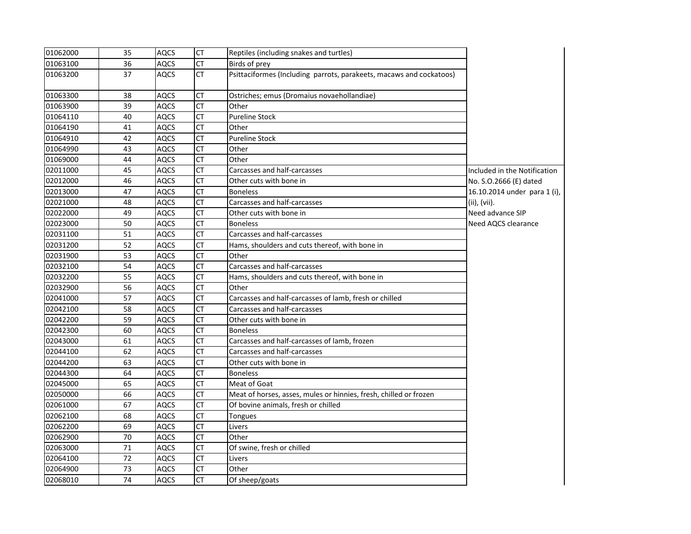| 01062000 | 35 | <b>AQCS</b> | <b>CT</b> | Reptiles (including snakes and turtles)                             |                              |
|----------|----|-------------|-----------|---------------------------------------------------------------------|------------------------------|
| 01063100 | 36 | AQCS        | <b>CT</b> | Birds of prey                                                       |                              |
| 01063200 | 37 | <b>AQCS</b> | <b>CT</b> | Psittaciformes (Including parrots, parakeets, macaws and cockatoos) |                              |
| 01063300 | 38 | <b>AQCS</b> | CT        | Ostriches; emus (Dromaius novaehollandiae)                          |                              |
| 01063900 | 39 | <b>AQCS</b> | <b>CT</b> | Other                                                               |                              |
| 01064110 | 40 | <b>AQCS</b> | <b>CT</b> | <b>Pureline Stock</b>                                               |                              |
| 01064190 | 41 | <b>AQCS</b> | <b>CT</b> | Other                                                               |                              |
| 01064910 | 42 | <b>AQCS</b> | <b>CT</b> | <b>Pureline Stock</b>                                               |                              |
| 01064990 | 43 | <b>AQCS</b> | CT        | Other                                                               |                              |
| 01069000 | 44 | <b>AQCS</b> | CT        | Other                                                               |                              |
| 02011000 | 45 | <b>AQCS</b> | <b>CT</b> | Carcasses and half-carcasses                                        | Included in the Notification |
| 02012000 | 46 | <b>AQCS</b> | CT        | Other cuts with bone in                                             | No. S.O.2666 (E) dated       |
| 02013000 | 47 | <b>AQCS</b> | <b>CT</b> | <b>Boneless</b>                                                     | 16.10.2014 under para 1 (i), |
| 02021000 | 48 | <b>AQCS</b> | <b>CT</b> | Carcasses and half-carcasses                                        | (ii), (vii).                 |
| 02022000 | 49 | AQCS        | CT        | Other cuts with bone in                                             | Need advance SIP             |
| 02023000 | 50 | <b>AQCS</b> | CT        | <b>Boneless</b>                                                     | Need AQCS clearance          |
| 02031100 | 51 | <b>AQCS</b> | <b>CT</b> | Carcasses and half-carcasses                                        |                              |
| 02031200 | 52 | <b>AQCS</b> | CT        | Hams, shoulders and cuts thereof, with bone in                      |                              |
| 02031900 | 53 | <b>AQCS</b> | <b>CT</b> | Other                                                               |                              |
| 02032100 | 54 | <b>AQCS</b> | CT        | Carcasses and half-carcasses                                        |                              |
| 02032200 | 55 | <b>AQCS</b> | CT        | Hams, shoulders and cuts thereof, with bone in                      |                              |
| 02032900 | 56 | AQCS        | <b>CT</b> | Other                                                               |                              |
| 02041000 | 57 | <b>AQCS</b> | <b>CT</b> | Carcasses and half-carcasses of lamb, fresh or chilled              |                              |
| 02042100 | 58 | <b>AQCS</b> | <b>CT</b> | Carcasses and half-carcasses                                        |                              |
| 02042200 | 59 | <b>AQCS</b> | <b>CT</b> | Other cuts with bone in                                             |                              |
| 02042300 | 60 | <b>AQCS</b> | <b>CT</b> | <b>Boneless</b>                                                     |                              |
| 02043000 | 61 | <b>AQCS</b> | <b>CT</b> | Carcasses and half-carcasses of lamb, frozen                        |                              |
| 02044100 | 62 | <b>AQCS</b> | <b>CT</b> | Carcasses and half-carcasses                                        |                              |
| 02044200 | 63 | <b>AQCS</b> | <b>CT</b> | Other cuts with bone in                                             |                              |
| 02044300 | 64 | AQCS        | <b>CT</b> | <b>Boneless</b>                                                     |                              |
| 02045000 | 65 | <b>AQCS</b> | <b>CT</b> | Meat of Goat                                                        |                              |
| 02050000 | 66 | <b>AQCS</b> | <b>CT</b> | Meat of horses, asses, mules or hinnies, fresh, chilled or frozen   |                              |
| 02061000 | 67 | AQCS        | <b>CT</b> | Of bovine animals, fresh or chilled                                 |                              |
| 02062100 | 68 | <b>AQCS</b> | <b>CT</b> | Tongues                                                             |                              |
| 02062200 | 69 | <b>AQCS</b> | CT        | Livers                                                              |                              |
| 02062900 | 70 | <b>AQCS</b> | <b>CT</b> | Other                                                               |                              |
| 02063000 | 71 | <b>AQCS</b> | <b>CT</b> | Of swine, fresh or chilled                                          |                              |
| 02064100 | 72 | <b>AQCS</b> | CT        | Livers                                                              |                              |
| 02064900 | 73 | <b>AQCS</b> | <b>CT</b> | Other                                                               |                              |
| 02068010 | 74 | <b>AQCS</b> | <b>CT</b> | Of sheep/goats                                                      |                              |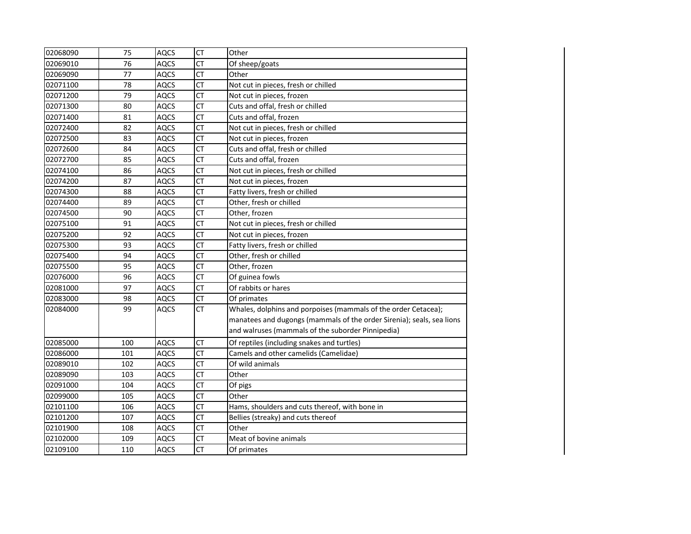| 02068090 | 75  | <b>AQCS</b> | <b>CT</b>       | Other                                                                 |
|----------|-----|-------------|-----------------|-----------------------------------------------------------------------|
| 02069010 | 76  | <b>AQCS</b> | <b>CT</b>       | Of sheep/goats                                                        |
| 02069090 | 77  | <b>AQCS</b> | <b>CT</b>       | Other                                                                 |
| 02071100 | 78  | <b>AQCS</b> | $\overline{CT}$ | Not cut in pieces, fresh or chilled                                   |
| 02071200 | 79  | <b>AQCS</b> | $\overline{CT}$ | Not cut in pieces, frozen                                             |
| 02071300 | 80  | <b>AQCS</b> | $\overline{CT}$ | Cuts and offal, fresh or chilled                                      |
| 02071400 | 81  | <b>AQCS</b> | <b>CT</b>       | Cuts and offal, frozen                                                |
| 02072400 | 82  | <b>AQCS</b> | <b>CT</b>       | Not cut in pieces, fresh or chilled                                   |
| 02072500 | 83  | <b>AQCS</b> | <b>CT</b>       | Not cut in pieces, frozen                                             |
| 02072600 | 84  | <b>AQCS</b> | <b>CT</b>       | Cuts and offal, fresh or chilled                                      |
| 02072700 | 85  | <b>AQCS</b> | <b>CT</b>       | Cuts and offal, frozen                                                |
| 02074100 | 86  | <b>AQCS</b> | <b>CT</b>       | Not cut in pieces, fresh or chilled                                   |
| 02074200 | 87  | <b>AQCS</b> | <b>CT</b>       | Not cut in pieces, frozen                                             |
| 02074300 | 88  | <b>AQCS</b> | <b>CT</b>       | Fatty livers, fresh or chilled                                        |
| 02074400 | 89  | <b>AQCS</b> | <b>CT</b>       | Other, fresh or chilled                                               |
| 02074500 | 90  | <b>AQCS</b> | <b>CT</b>       | Other, frozen                                                         |
| 02075100 | 91  | AQCS        | <b>CT</b>       | Not cut in pieces, fresh or chilled                                   |
| 02075200 | 92  | <b>AQCS</b> | <b>CT</b>       | Not cut in pieces, frozen                                             |
| 02075300 | 93  | <b>AQCS</b> | <b>CT</b>       | Fatty livers, fresh or chilled                                        |
| 02075400 | 94  | <b>AQCS</b> | <b>CT</b>       | Other, fresh or chilled                                               |
| 02075500 | 95  | <b>AQCS</b> | <b>CT</b>       | Other, frozen                                                         |
| 02076000 | 96  | <b>AQCS</b> | <b>CT</b>       | Of guinea fowls                                                       |
| 02081000 | 97  | <b>AQCS</b> | <b>CT</b>       | Of rabbits or hares                                                   |
| 02083000 | 98  | <b>AQCS</b> | <b>CT</b>       | Of primates                                                           |
| 02084000 | 99  | <b>AQCS</b> | <b>CT</b>       | Whales, dolphins and porpoises (mammals of the order Cetacea);        |
|          |     |             |                 | manatees and dugongs (mammals of the order Sirenia); seals, sea lions |
|          |     |             |                 | and walruses (mammals of the suborder Pinnipedia)                     |
| 02085000 | 100 | <b>AQCS</b> | <b>CT</b>       | Of reptiles (including snakes and turtles)                            |
| 02086000 | 101 | <b>AQCS</b> | <b>CT</b>       | Camels and other camelids (Camelidae)                                 |
| 02089010 | 102 | <b>AQCS</b> | <b>CT</b>       | Of wild animals                                                       |
| 02089090 | 103 | <b>AQCS</b> | <b>CT</b>       | Other                                                                 |
| 02091000 | 104 | <b>AQCS</b> | <b>CT</b>       | Of pigs                                                               |
| 02099000 | 105 | <b>AQCS</b> | <b>CT</b>       | Other                                                                 |
| 02101100 | 106 | <b>AQCS</b> | <b>CT</b>       | Hams, shoulders and cuts thereof, with bone in                        |
| 02101200 | 107 | <b>AQCS</b> | $\overline{CT}$ | Bellies (streaky) and cuts thereof                                    |
| 02101900 | 108 | <b>AQCS</b> | <b>CT</b>       | Other                                                                 |
| 02102000 | 109 | <b>AQCS</b> | <b>CT</b>       | Meat of bovine animals                                                |
| 02109100 | 110 | <b>AQCS</b> | <b>CT</b>       | Of primates                                                           |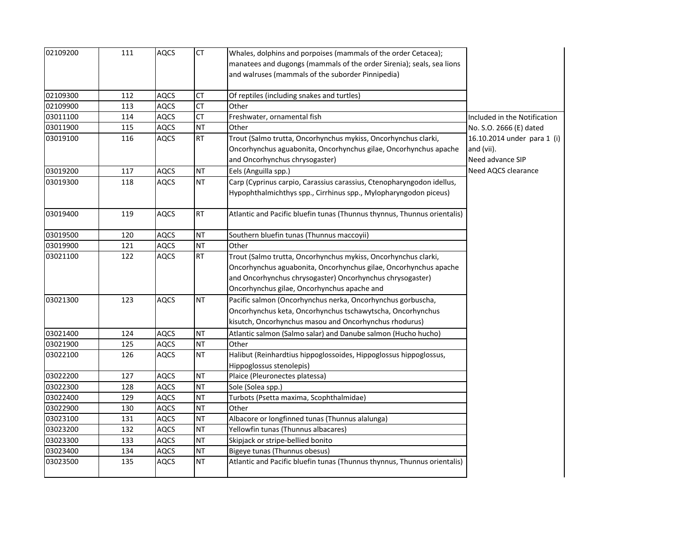| 02109200 | 111 | <b>AQCS</b> | CT        | Whales, dolphins and porpoises (mammals of the order Cetacea);<br>manatees and dugongs (mammals of the order Sirenia); seals, sea lions<br>and walruses (mammals of the suborder Pinnipedia)                                                   |                                                               |
|----------|-----|-------------|-----------|------------------------------------------------------------------------------------------------------------------------------------------------------------------------------------------------------------------------------------------------|---------------------------------------------------------------|
| 02109300 | 112 | <b>AQCS</b> | CT        | Of reptiles (including snakes and turtles)                                                                                                                                                                                                     |                                                               |
| 02109900 | 113 | AQCS        | <b>CT</b> | Other                                                                                                                                                                                                                                          |                                                               |
| 03011100 | 114 | AQCS        | <b>CT</b> | Freshwater, ornamental fish                                                                                                                                                                                                                    | Included in the Notification                                  |
| 03011900 | 115 | <b>AQCS</b> | <b>NT</b> | Other                                                                                                                                                                                                                                          | No. S.O. 2666 (E) dated                                       |
| 03019100 | 116 | <b>AQCS</b> | RT        | Trout (Salmo trutta, Oncorhynchus mykiss, Oncorhynchus clarki,<br>Oncorhynchus aguabonita, Oncorhynchus gilae, Oncorhynchus apache<br>and Oncorhynchus chrysogaster)                                                                           | 16.10.2014 under para 1 (i)<br>and (vii).<br>Need advance SIP |
| 03019200 | 117 | <b>AQCS</b> | <b>NT</b> | Eels (Anguilla spp.)                                                                                                                                                                                                                           | Need AQCS clearance                                           |
| 03019300 | 118 | <b>AQCS</b> | NT        | Carp (Cyprinus carpio, Carassius carassius, Ctenopharyngodon idellus,<br>Hypophthalmichthys spp., Cirrhinus spp., Mylopharyngodon piceus)                                                                                                      |                                                               |
| 03019400 | 119 | <b>AQCS</b> | <b>RT</b> | Atlantic and Pacific bluefin tunas (Thunnus thynnus, Thunnus orientalis)                                                                                                                                                                       |                                                               |
| 03019500 | 120 | <b>AQCS</b> | <b>NT</b> | Southern bluefin tunas (Thunnus maccoyii)                                                                                                                                                                                                      |                                                               |
| 03019900 | 121 | <b>AQCS</b> | <b>NT</b> | Other                                                                                                                                                                                                                                          |                                                               |
| 03021100 | 122 | <b>AQCS</b> | <b>RT</b> | Trout (Salmo trutta, Oncorhynchus mykiss, Oncorhynchus clarki,<br>Oncorhynchus aguabonita, Oncorhynchus gilae, Oncorhynchus apache<br>and Oncorhynchus chrysogaster) Oncorhynchus chrysogaster)<br>Oncorhynchus gilae, Oncorhynchus apache and |                                                               |
| 03021300 | 123 | <b>AQCS</b> | <b>NT</b> | Pacific salmon (Oncorhynchus nerka, Oncorhynchus gorbuscha,<br>Oncorhynchus keta, Oncorhynchus tschawytscha, Oncorhynchus<br>kisutch, Oncorhynchus masou and Oncorhynchus rhodurus)                                                            |                                                               |
| 03021400 | 124 | <b>AQCS</b> | <b>NT</b> | Atlantic salmon (Salmo salar) and Danube salmon (Hucho hucho)                                                                                                                                                                                  |                                                               |
| 03021900 | 125 | <b>AQCS</b> | <b>NT</b> | Other                                                                                                                                                                                                                                          |                                                               |
| 03022100 | 126 | <b>AQCS</b> | NT.       | Halibut (Reinhardtius hippoglossoides, Hippoglossus hippoglossus,<br>Hippoglossus stenolepis)                                                                                                                                                  |                                                               |
| 03022200 | 127 | AQCS        | <b>NT</b> | Plaice (Pleuronectes platessa)                                                                                                                                                                                                                 |                                                               |
| 03022300 | 128 | <b>AQCS</b> | NT        | Sole (Solea spp.)                                                                                                                                                                                                                              |                                                               |
| 03022400 | 129 | <b>AQCS</b> | <b>NT</b> | Turbots (Psetta maxima, Scophthalmidae)                                                                                                                                                                                                        |                                                               |
| 03022900 | 130 | <b>AQCS</b> | NT        | Other                                                                                                                                                                                                                                          |                                                               |
| 03023100 | 131 | <b>AQCS</b> | <b>NT</b> | Albacore or longfinned tunas (Thunnus alalunga)                                                                                                                                                                                                |                                                               |
| 03023200 | 132 | <b>AQCS</b> | <b>NT</b> | Yellowfin tunas (Thunnus albacares)                                                                                                                                                                                                            |                                                               |
| 03023300 | 133 | <b>AQCS</b> | <b>NT</b> | Skipjack or stripe-bellied bonito                                                                                                                                                                                                              |                                                               |
| 03023400 | 134 | <b>AQCS</b> | NT        | Bigeye tunas (Thunnus obesus)                                                                                                                                                                                                                  |                                                               |
| 03023500 | 135 | AQCS        | NT        | Atlantic and Pacific bluefin tunas (Thunnus thynnus, Thunnus orientalis)                                                                                                                                                                       |                                                               |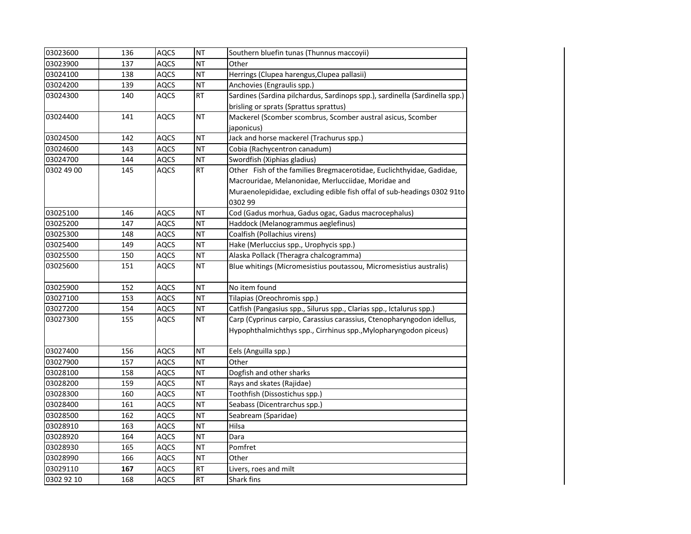| 03023600   | 136 | <b>AQCS</b> | <b>NT</b> | Southern bluefin tunas (Thunnus maccoyii)                                   |
|------------|-----|-------------|-----------|-----------------------------------------------------------------------------|
| 03023900   | 137 | <b>AQCS</b> | <b>NT</b> | Other                                                                       |
| 03024100   | 138 | <b>AQCS</b> | <b>NT</b> | Herrings (Clupea harengus, Clupea pallasii)                                 |
| 03024200   | 139 | <b>AQCS</b> | <b>NT</b> | Anchovies (Engraulis spp.)                                                  |
| 03024300   | 140 | <b>AQCS</b> | <b>RT</b> | Sardines (Sardina pilchardus, Sardinops spp.), sardinella (Sardinella spp.) |
|            |     |             |           | brisling or sprats (Sprattus sprattus)                                      |
| 03024400   | 141 | <b>AQCS</b> | <b>NT</b> | Mackerel (Scomber scombrus, Scomber austral asicus, Scomber                 |
|            |     |             |           | japonicus)                                                                  |
| 03024500   | 142 | <b>AQCS</b> | <b>NT</b> | Jack and horse mackerel (Trachurus spp.)                                    |
| 03024600   | 143 | <b>AQCS</b> | <b>NT</b> | Cobia (Rachycentron canadum)                                                |
| 03024700   | 144 | AQCS        | <b>NT</b> | Swordfish (Xiphias gladius)                                                 |
| 0302 49 00 | 145 | <b>AQCS</b> | <b>RT</b> | Other Fish of the families Bregmacerotidae, Euclichthyidae, Gadidae,        |
|            |     |             |           | Macrouridae, Melanonidae, Merlucciidae, Moridae and                         |
|            |     |             |           | Muraenolepididae, excluding edible fish offal of sub-headings 0302 91to     |
|            |     |             |           | 0302 99                                                                     |
| 03025100   | 146 | <b>AQCS</b> | NT        | Cod (Gadus morhua, Gadus ogac, Gadus macrocephalus)                         |
| 03025200   | 147 | <b>AQCS</b> | <b>NT</b> | Haddock (Melanogrammus aeglefinus)                                          |
| 03025300   | 148 | <b>AQCS</b> | <b>NT</b> | Coalfish (Pollachius virens)                                                |
| 03025400   | 149 | <b>AQCS</b> | <b>NT</b> | Hake (Merluccius spp., Urophycis spp.)                                      |
| 03025500   | 150 | <b>AQCS</b> | <b>NT</b> | Alaska Pollack (Theragra chalcogramma)                                      |
| 03025600   | 151 | <b>AQCS</b> | <b>NT</b> | Blue whitings (Micromesistius poutassou, Micromesistius australis)          |
| 03025900   | 152 | <b>AQCS</b> | <b>NT</b> | No item found                                                               |
| 03027100   | 153 | <b>AQCS</b> | <b>NT</b> | Tilapias (Oreochromis spp.)                                                 |
| 03027200   | 154 | <b>AQCS</b> | <b>NT</b> | Catfish (Pangasius spp., Silurus spp., Clarias spp., Ictalurus spp.)        |
| 03027300   | 155 | <b>AQCS</b> | <b>NT</b> | Carp (Cyprinus carpio, Carassius carassius, Ctenopharyngodon idellus,       |
|            |     |             |           | Hypophthalmichthys spp., Cirrhinus spp., Mylopharyngodon piceus)            |
| 03027400   | 156 | <b>AQCS</b> | <b>NT</b> | Eels (Anguilla spp.)                                                        |
| 03027900   | 157 | <b>AQCS</b> | <b>NT</b> | Other                                                                       |
| 03028100   | 158 | <b>AQCS</b> | <b>NT</b> | Dogfish and other sharks                                                    |
| 03028200   | 159 | <b>AQCS</b> | <b>NT</b> | Rays and skates (Rajidae)                                                   |
| 03028300   | 160 | <b>AQCS</b> | <b>NT</b> | Toothfish (Dissostichus spp.)                                               |
| 03028400   | 161 | <b>AQCS</b> | <b>NT</b> | Seabass (Dicentrarchus spp.)                                                |
| 03028500   | 162 | <b>AQCS</b> | <b>NT</b> | Seabream (Sparidae)                                                         |
| 03028910   | 163 | AQCS        | <b>NT</b> | Hilsa                                                                       |
| 03028920   | 164 | <b>AQCS</b> | <b>NT</b> | Dara                                                                        |
| 03028930   | 165 | AQCS        | <b>NT</b> | Pomfret                                                                     |
| 03028990   | 166 | <b>AQCS</b> | <b>NT</b> | Other                                                                       |
| 03029110   | 167 | <b>AQCS</b> | <b>RT</b> | Livers, roes and milt                                                       |
| 0302 92 10 | 168 | <b>AQCS</b> | RT        | Shark fins                                                                  |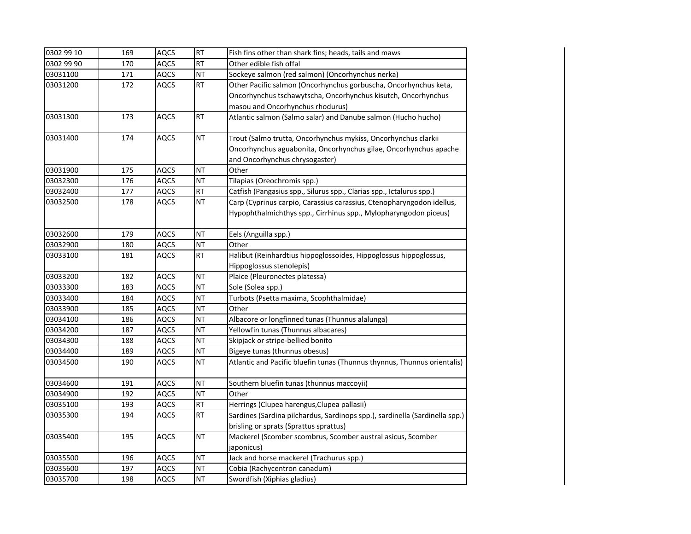| 0302 99 10 | 169 | <b>AQCS</b> | <b>RT</b> | Fish fins other than shark fins; heads, tails and maws                                                                                    |
|------------|-----|-------------|-----------|-------------------------------------------------------------------------------------------------------------------------------------------|
| 0302 99 90 | 170 | <b>AQCS</b> | <b>RT</b> | Other edible fish offal                                                                                                                   |
| 03031100   | 171 | <b>AQCS</b> | <b>NT</b> | Sockeye salmon (red salmon) (Oncorhynchus nerka)                                                                                          |
| 03031200   | 172 | <b>AQCS</b> | RT        | Other Pacific salmon (Oncorhynchus gorbuscha, Oncorhynchus keta,                                                                          |
|            |     |             |           | Oncorhynchus tschawytscha, Oncorhynchus kisutch, Oncorhynchus                                                                             |
|            |     |             |           | masou and Oncorhynchus rhodurus)                                                                                                          |
| 03031300   | 173 | <b>AQCS</b> | <b>RT</b> | Atlantic salmon (Salmo salar) and Danube salmon (Hucho hucho)                                                                             |
| 03031400   | 174 | <b>AQCS</b> | <b>NT</b> | Trout (Salmo trutta, Oncorhynchus mykiss, Oncorhynchus clarkii                                                                            |
|            |     |             |           | Oncorhynchus aguabonita, Oncorhynchus gilae, Oncorhynchus apache                                                                          |
|            |     |             |           | and Oncorhynchus chrysogaster)                                                                                                            |
| 03031900   | 175 | <b>AQCS</b> | <b>NT</b> | Other                                                                                                                                     |
| 03032300   | 176 | <b>AQCS</b> | <b>NT</b> | Tilapias (Oreochromis spp.)                                                                                                               |
| 03032400   | 177 | <b>AQCS</b> | RT        | Catfish (Pangasius spp., Silurus spp., Clarias spp., Ictalurus spp.)                                                                      |
| 03032500   | 178 | <b>AQCS</b> | <b>NT</b> | Carp (Cyprinus carpio, Carassius carassius, Ctenopharyngodon idellus,<br>Hypophthalmichthys spp., Cirrhinus spp., Mylopharyngodon piceus) |
| 03032600   | 179 | <b>AQCS</b> | <b>NT</b> | Eels (Anguilla spp.)                                                                                                                      |
| 03032900   | 180 | <b>AQCS</b> | <b>NT</b> | Other                                                                                                                                     |
| 03033100   | 181 | <b>AQCS</b> | <b>RT</b> | Halibut (Reinhardtius hippoglossoides, Hippoglossus hippoglossus,                                                                         |
|            |     |             |           | Hippoglossus stenolepis)                                                                                                                  |
| 03033200   | 182 | <b>AQCS</b> | <b>NT</b> | Plaice (Pleuronectes platessa)                                                                                                            |
| 03033300   | 183 | AQCS        | NT        | Sole (Solea spp.)                                                                                                                         |
| 03033400   | 184 | <b>AQCS</b> | <b>NT</b> | Turbots (Psetta maxima, Scophthalmidae)                                                                                                   |
| 03033900   | 185 | <b>AQCS</b> | <b>NT</b> | Other                                                                                                                                     |
| 03034100   | 186 | <b>AQCS</b> | <b>NT</b> | Albacore or longfinned tunas (Thunnus alalunga)                                                                                           |
| 03034200   | 187 | <b>AQCS</b> | <b>NT</b> | Yellowfin tunas (Thunnus albacares)                                                                                                       |
| 03034300   | 188 | AQCS        | <b>NT</b> | Skipjack or stripe-bellied bonito                                                                                                         |
| 03034400   | 189 | <b>AQCS</b> | NT        | Bigeye tunas (thunnus obesus)                                                                                                             |
| 03034500   | 190 | <b>AQCS</b> | <b>NT</b> | Atlantic and Pacific bluefin tunas (Thunnus thynnus, Thunnus orientalis)                                                                  |
| 03034600   | 191 | <b>AQCS</b> | <b>NT</b> | Southern bluefin tunas (thunnus maccoyii)                                                                                                 |
| 03034900   | 192 | <b>AQCS</b> | <b>NT</b> | Other                                                                                                                                     |
| 03035100   | 193 | <b>AQCS</b> | RT        | Herrings (Clupea harengus, Clupea pallasii)                                                                                               |
| 03035300   | 194 | <b>AQCS</b> | RT        | Sardines (Sardina pilchardus, Sardinops spp.), sardinella (Sardinella spp.)                                                               |
|            |     |             |           | brisling or sprats (Sprattus sprattus)                                                                                                    |
| 03035400   | 195 | <b>AQCS</b> | <b>NT</b> | Mackerel (Scomber scombrus, Scomber austral asicus, Scomber                                                                               |
|            |     |             |           | japonicus)                                                                                                                                |
| 03035500   | 196 | <b>AQCS</b> | <b>NT</b> | Jack and horse mackerel (Trachurus spp.)                                                                                                  |
| 03035600   | 197 | AQCS        | <b>NT</b> | Cobia (Rachycentron canadum)                                                                                                              |
| 03035700   | 198 | <b>AQCS</b> | <b>NT</b> | Swordfish (Xiphias gladius)                                                                                                               |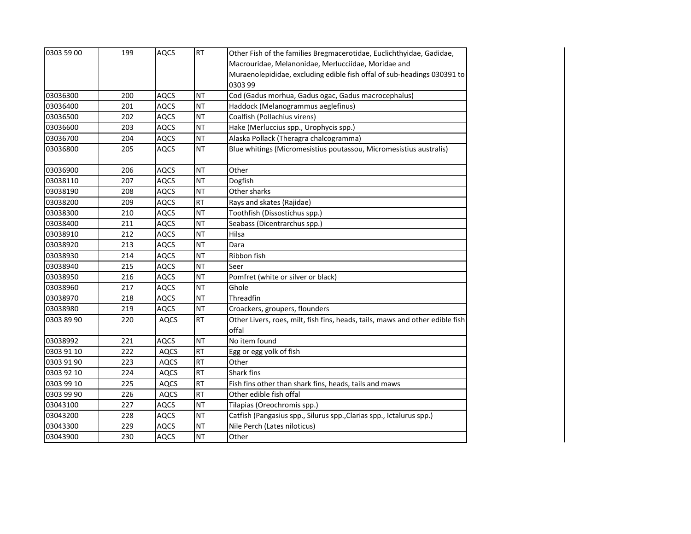| 0303 59 00 | 199 | <b>AQCS</b> | <b>RT</b> | Other Fish of the families Bregmacerotidae, Euclichthyidae, Gadidae,          |
|------------|-----|-------------|-----------|-------------------------------------------------------------------------------|
|            |     |             |           | Macrouridae, Melanonidae, Merlucciidae, Moridae and                           |
|            |     |             |           | Muraenolepididae, excluding edible fish offal of sub-headings 030391 to       |
|            |     |             |           | 0303 99                                                                       |
| 03036300   | 200 | <b>AQCS</b> | <b>NT</b> | Cod (Gadus morhua, Gadus ogac, Gadus macrocephalus)                           |
| 03036400   | 201 | <b>AQCS</b> | <b>NT</b> | Haddock (Melanogrammus aeglefinus)                                            |
| 03036500   | 202 | <b>AQCS</b> | <b>NT</b> | Coalfish (Pollachius virens)                                                  |
| 03036600   | 203 | <b>AQCS</b> | <b>NT</b> | Hake (Merluccius spp., Urophycis spp.)                                        |
| 03036700   | 204 | <b>AQCS</b> | <b>NT</b> | Alaska Pollack (Theragra chalcogramma)                                        |
| 03036800   | 205 | <b>AQCS</b> | <b>NT</b> | Blue whitings (Micromesistius poutassou, Micromesistius australis)            |
| 03036900   | 206 | <b>AQCS</b> | <b>NT</b> | Other                                                                         |
| 03038110   | 207 | <b>AQCS</b> | <b>NT</b> | Dogfish                                                                       |
| 03038190   | 208 | <b>AQCS</b> | <b>NT</b> | Other sharks                                                                  |
| 03038200   | 209 | <b>AQCS</b> | RT        | Rays and skates (Rajidae)                                                     |
| 03038300   | 210 | <b>AQCS</b> | <b>NT</b> | Toothfish (Dissostichus spp.)                                                 |
| 03038400   | 211 | <b>AQCS</b> | <b>NT</b> | Seabass (Dicentrarchus spp.)                                                  |
| 03038910   | 212 | <b>AQCS</b> | <b>NT</b> | Hilsa                                                                         |
| 03038920   | 213 | <b>AQCS</b> | <b>NT</b> | Dara                                                                          |
| 03038930   | 214 | <b>AQCS</b> | <b>NT</b> | Ribbon fish                                                                   |
| 03038940   | 215 | <b>AQCS</b> | <b>NT</b> | Seer                                                                          |
| 03038950   | 216 | <b>AQCS</b> | <b>NT</b> | Pomfret (white or silver or black)                                            |
| 03038960   | 217 | <b>AQCS</b> | <b>NT</b> | Ghole                                                                         |
| 03038970   | 218 | <b>AQCS</b> | <b>NT</b> | Threadfin                                                                     |
| 03038980   | 219 | <b>AQCS</b> | <b>NT</b> | Croackers, groupers, flounders                                                |
| 0303 89 90 | 220 | <b>AQCS</b> | <b>RT</b> | Other Livers, roes, milt, fish fins, heads, tails, maws and other edible fish |
|            |     |             |           | offal                                                                         |
| 03038992   | 221 | <b>AQCS</b> | <b>NT</b> | No item found                                                                 |
| 0303 91 10 | 222 | <b>AQCS</b> | <b>RT</b> | Egg or egg yolk of fish                                                       |
| 0303 91 90 | 223 | <b>AQCS</b> | <b>RT</b> | Other                                                                         |
| 0303 92 10 | 224 | AQCS        | <b>RT</b> | Shark fins                                                                    |
| 0303 99 10 | 225 | AQCS        | <b>RT</b> | Fish fins other than shark fins, heads, tails and maws                        |
| 0303 99 90 | 226 | <b>AQCS</b> | <b>RT</b> | Other edible fish offal                                                       |
| 03043100   | 227 | <b>AQCS</b> | <b>NT</b> | Tilapias (Oreochromis spp.)                                                   |
| 03043200   | 228 | <b>AQCS</b> | <b>NT</b> | Catfish (Pangasius spp., Silurus spp., Clarias spp., Ictalurus spp.)          |
| 03043300   | 229 | <b>AQCS</b> | <b>NT</b> | Nile Perch (Lates niloticus)                                                  |
| 03043900   | 230 | <b>AQCS</b> | <b>NT</b> | Other                                                                         |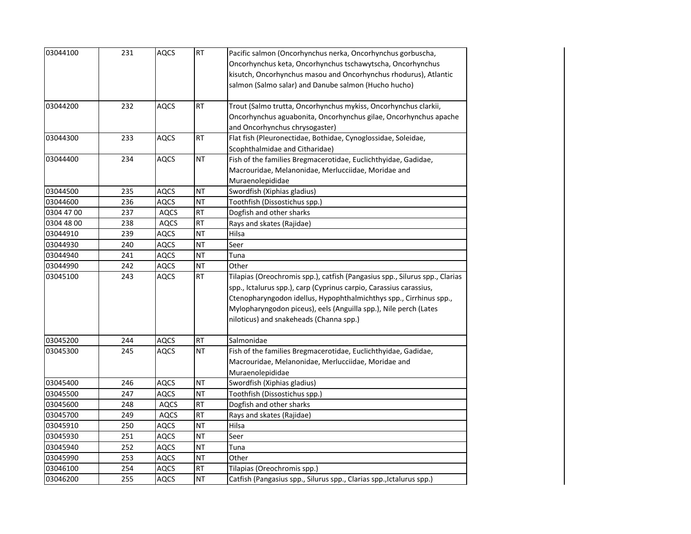| 03044100   | 231 | <b>AQCS</b> | RT        | Pacific salmon (Oncorhynchus nerka, Oncorhynchus gorbuscha,<br>Oncorhynchus keta, Oncorhynchus tschawytscha, Oncorhynchus<br>kisutch, Oncorhynchus masou and Oncorhynchus rhodurus), Atlantic<br>salmon (Salmo salar) and Danube salmon (Hucho hucho)                                                                                  |
|------------|-----|-------------|-----------|----------------------------------------------------------------------------------------------------------------------------------------------------------------------------------------------------------------------------------------------------------------------------------------------------------------------------------------|
| 03044200   | 232 | <b>AQCS</b> | <b>RT</b> | Trout (Salmo trutta, Oncorhynchus mykiss, Oncorhynchus clarkii,<br>Oncorhynchus aguabonita, Oncorhynchus gilae, Oncorhynchus apache<br>and Oncorhynchus chrysogaster)                                                                                                                                                                  |
| 03044300   | 233 | <b>AQCS</b> | RT        | Flat fish (Pleuronectidae, Bothidae, Cynoglossidae, Soleidae,<br>Scophthalmidae and Citharidae)                                                                                                                                                                                                                                        |
| 03044400   | 234 | AQCS        | <b>NT</b> | Fish of the families Bregmacerotidae, Euclichthyidae, Gadidae,<br>Macrouridae, Melanonidae, Merlucciidae, Moridae and<br>Muraenolepididae                                                                                                                                                                                              |
| 03044500   | 235 | <b>AQCS</b> | <b>NT</b> | Swordfish (Xiphias gladius)                                                                                                                                                                                                                                                                                                            |
| 03044600   | 236 | AQCS        | ΝT        | Toothfish (Dissostichus spp.)                                                                                                                                                                                                                                                                                                          |
| 0304 47 00 | 237 | AQCS        | <b>RT</b> | Dogfish and other sharks                                                                                                                                                                                                                                                                                                               |
| 0304 48 00 | 238 | <b>AQCS</b> | <b>RT</b> | Rays and skates (Rajidae)                                                                                                                                                                                                                                                                                                              |
| 03044910   | 239 | AQCS        | <b>NT</b> | Hilsa                                                                                                                                                                                                                                                                                                                                  |
| 03044930   | 240 | AQCS        | <b>NT</b> | Seer                                                                                                                                                                                                                                                                                                                                   |
| 03044940   | 241 | AQCS        | <b>NT</b> | Tuna                                                                                                                                                                                                                                                                                                                                   |
| 03044990   | 242 | <b>AQCS</b> | <b>NT</b> | Other                                                                                                                                                                                                                                                                                                                                  |
| 03045100   | 243 | AQCS        | <b>RT</b> | Tilapias (Oreochromis spp.), catfish (Pangasius spp., Silurus spp., Clarias<br>spp., Ictalurus spp.), carp (Cyprinus carpio, Carassius carassius,<br>Ctenopharyngodon idellus, Hypophthalmichthys spp., Cirrhinus spp.,<br>Mylopharyngodon piceus), eels (Anguilla spp.), Nile perch (Lates<br>niloticus) and snakeheads (Channa spp.) |
| 03045200   | 244 | AQCS        | <b>RT</b> | Salmonidae                                                                                                                                                                                                                                                                                                                             |
| 03045300   | 245 | <b>AQCS</b> | <b>NT</b> | Fish of the families Bregmacerotidae, Euclichthyidae, Gadidae,<br>Macrouridae, Melanonidae, Merlucciidae, Moridae and<br>Muraenolepididae                                                                                                                                                                                              |
| 03045400   | 246 | <b>AQCS</b> | NT        | Swordfish (Xiphias gladius)                                                                                                                                                                                                                                                                                                            |
| 03045500   | 247 | AQCS        | <b>NT</b> | Toothfish (Dissostichus spp.)                                                                                                                                                                                                                                                                                                          |
| 03045600   | 248 | <b>AQCS</b> | <b>RT</b> | Dogfish and other sharks                                                                                                                                                                                                                                                                                                               |
| 03045700   | 249 | <b>AQCS</b> | <b>RT</b> | Rays and skates (Rajidae)                                                                                                                                                                                                                                                                                                              |
| 03045910   | 250 | <b>AQCS</b> | <b>NT</b> | Hilsa                                                                                                                                                                                                                                                                                                                                  |
| 03045930   | 251 | <b>AQCS</b> | <b>NT</b> | Seer                                                                                                                                                                                                                                                                                                                                   |
| 03045940   | 252 | <b>AQCS</b> | <b>NT</b> | Tuna                                                                                                                                                                                                                                                                                                                                   |
| 03045990   | 253 | AQCS        | <b>NT</b> | Other                                                                                                                                                                                                                                                                                                                                  |
| 03046100   | 254 | AQCS        | <b>RT</b> | Tilapias (Oreochromis spp.)                                                                                                                                                                                                                                                                                                            |
| 03046200   | 255 | AQCS        | <b>NT</b> | Catfish (Pangasius spp., Silurus spp., Clarias spp., Ictalurus spp.)                                                                                                                                                                                                                                                                   |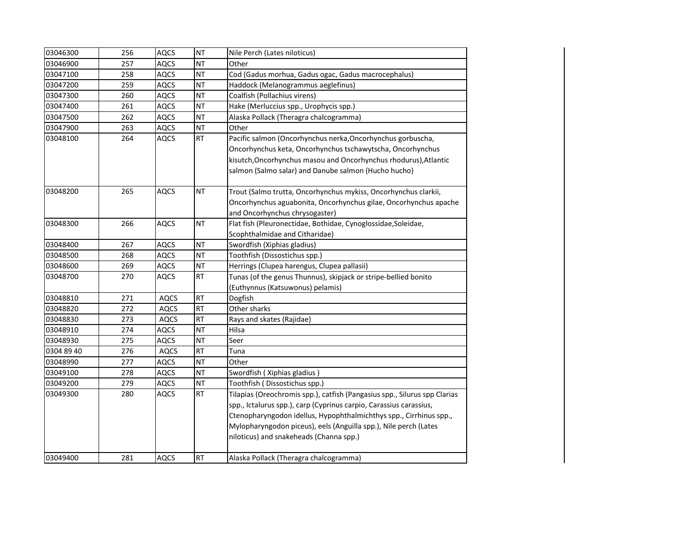| 03046300   | 256 | <b>AQCS</b> | <b>NT</b> | Nile Perch (Lates niloticus)                                              |
|------------|-----|-------------|-----------|---------------------------------------------------------------------------|
| 03046900   | 257 | <b>AQCS</b> | <b>NT</b> | Other                                                                     |
| 03047100   | 258 | <b>AQCS</b> | <b>NT</b> | Cod (Gadus morhua, Gadus ogac, Gadus macrocephalus)                       |
| 03047200   | 259 | AQCS        | <b>NT</b> | Haddock (Melanogrammus aeglefinus)                                        |
| 03047300   | 260 | <b>AQCS</b> | <b>NT</b> | Coalfish (Pollachius virens)                                              |
| 03047400   | 261 | <b>AQCS</b> | <b>NT</b> | Hake (Merluccius spp., Urophycis spp.)                                    |
| 03047500   | 262 | <b>AQCS</b> | <b>NT</b> | Alaska Pollack (Theragra chalcogramma)                                    |
| 03047900   | 263 | <b>AQCS</b> | <b>NT</b> | Other                                                                     |
| 03048100   | 264 | <b>AQCS</b> | RT        | Pacific salmon (Oncorhynchus nerka, Oncorhynchus gorbuscha,               |
|            |     |             |           | Oncorhynchus keta, Oncorhynchus tschawytscha, Oncorhynchus                |
|            |     |             |           | kisutch, Oncorhynchus masou and Oncorhynchus rhodurus), Atlantic          |
|            |     |             |           | salmon (Salmo salar) and Danube salmon (Hucho hucho)                      |
|            |     |             |           |                                                                           |
| 03048200   | 265 | <b>AQCS</b> | <b>NT</b> | Trout (Salmo trutta, Oncorhynchus mykiss, Oncorhynchus clarkii,           |
|            |     |             |           | Oncorhynchus aguabonita, Oncorhynchus gilae, Oncorhynchus apache          |
|            |     |             |           | and Oncorhynchus chrysogaster)                                            |
| 03048300   | 266 | AQCS        | <b>NT</b> | Flat fish (Pleuronectidae, Bothidae, Cynoglossidae, Soleidae,             |
|            |     |             |           | Scophthalmidae and Citharidae)                                            |
| 03048400   | 267 | <b>AQCS</b> | <b>NT</b> | Swordfish (Xiphias gladius)                                               |
| 03048500   | 268 | <b>AQCS</b> | <b>NT</b> | Toothfish (Dissostichus spp.)                                             |
| 03048600   | 269 | <b>AQCS</b> | <b>NT</b> | Herrings (Clupea harengus, Clupea pallasii)                               |
| 03048700   | 270 | AQCS        | <b>RT</b> | Tunas (of the genus Thunnus), skipjack or stripe-bellied bonito           |
|            |     |             |           | (Euthynnus (Katsuwonus) pelamis)                                          |
| 03048810   | 271 | <b>AQCS</b> | <b>RT</b> | Dogfish                                                                   |
| 03048820   | 272 | <b>AQCS</b> | <b>RT</b> | Other sharks                                                              |
| 03048830   | 273 | <b>AQCS</b> | <b>RT</b> | Rays and skates (Rajidae)                                                 |
| 03048910   | 274 | AQCS        | <b>NT</b> | Hilsa                                                                     |
| 03048930   | 275 | AQCS        | <b>NT</b> | Seer                                                                      |
| 0304 89 40 | 276 | <b>AQCS</b> | <b>RT</b> | Tuna                                                                      |
| 03048990   | 277 | <b>AQCS</b> | <b>NT</b> | Other                                                                     |
| 03049100   | 278 | <b>AQCS</b> | <b>NT</b> | Swordfish (Xiphias gladius)                                               |
| 03049200   | 279 | <b>AQCS</b> | <b>NT</b> | Toothfish (Dissostichus spp.)                                             |
| 03049300   | 280 | AQCS        | <b>RT</b> | Tilapias (Oreochromis spp.), catfish (Pangasius spp., Silurus spp Clarias |
|            |     |             |           | spp., Ictalurus spp.), carp (Cyprinus carpio, Carassius carassius,        |
|            |     |             |           | Ctenopharyngodon idellus, Hypophthalmichthys spp., Cirrhinus spp.,        |
|            |     |             |           | Mylopharyngodon piceus), eels (Anguilla spp.), Nile perch (Lates          |
|            |     |             |           | niloticus) and snakeheads (Channa spp.)                                   |
|            |     |             |           |                                                                           |
| 03049400   | 281 | <b>AQCS</b> | <b>RT</b> | Alaska Pollack (Theragra chalcogramma)                                    |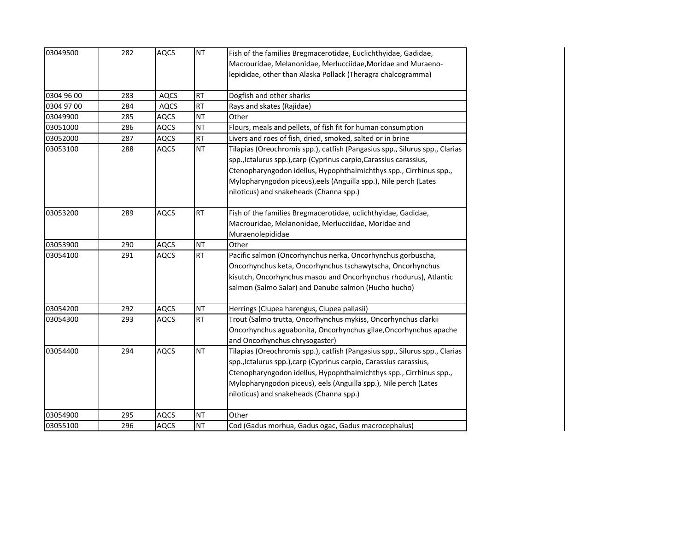| 03049500   | 282 | <b>AQCS</b> | <b>NT</b> | Fish of the families Bregmacerotidae, Euclichthyidae, Gadidae,              |
|------------|-----|-------------|-----------|-----------------------------------------------------------------------------|
|            |     |             |           | Macrouridae, Melanonidae, Merlucciidae, Moridae and Muraeno-                |
|            |     |             |           | lepididae, other than Alaska Pollack (Theragra chalcogramma)                |
| 0304 96 00 | 283 | <b>AQCS</b> | <b>RT</b> | Dogfish and other sharks                                                    |
| 0304 97 00 | 284 | <b>AQCS</b> | <b>RT</b> | Rays and skates (Rajidae)                                                   |
| 03049900   |     |             | <b>NT</b> | Other                                                                       |
|            | 285 | <b>AQCS</b> |           |                                                                             |
| 03051000   | 286 | <b>AQCS</b> | <b>NT</b> | Flours, meals and pellets, of fish fit for human consumption                |
| 03052000   | 287 | <b>AQCS</b> | <b>RT</b> | Livers and roes of fish, dried, smoked, salted or in brine                  |
| 03053100   | 288 | <b>AQCS</b> | <b>NT</b> | Tilapias (Oreochromis spp.), catfish (Pangasius spp., Silurus spp., Clarias |
|            |     |             |           | spp., Ictalurus spp.), carp (Cyprinus carpio, Carassius carassius,          |
|            |     |             |           | Ctenopharyngodon idellus, Hypophthalmichthys spp., Cirrhinus spp.,          |
|            |     |             |           | Mylopharyngodon piceus), eels (Anguilla spp.), Nile perch (Lates            |
|            |     |             |           | niloticus) and snakeheads (Channa spp.)                                     |
| 03053200   | 289 | <b>AQCS</b> | <b>RT</b> | Fish of the families Bregmacerotidae, uclichthyidae, Gadidae,               |
|            |     |             |           | Macrouridae, Melanonidae, Merlucciidae, Moridae and                         |
|            |     |             |           | Muraenolepididae                                                            |
| 03053900   | 290 | <b>AQCS</b> | <b>NT</b> | Other                                                                       |
| 03054100   | 291 | <b>AQCS</b> | <b>RT</b> | Pacific salmon (Oncorhynchus nerka, Oncorhynchus gorbuscha,                 |
|            |     |             |           | Oncorhynchus keta, Oncorhynchus tschawytscha, Oncorhynchus                  |
|            |     |             |           | kisutch, Oncorhynchus masou and Oncorhynchus rhodurus), Atlantic            |
|            |     |             |           | salmon (Salmo Salar) and Danube salmon (Hucho hucho)                        |
| 03054200   | 292 | <b>AQCS</b> | <b>NT</b> | Herrings (Clupea harengus, Clupea pallasii)                                 |
| 03054300   | 293 | <b>AQCS</b> | <b>RT</b> | Trout (Salmo trutta, Oncorhynchus mykiss, Oncorhynchus clarkii              |
|            |     |             |           | Oncorhynchus aguabonita, Oncorhynchus gilae, Oncorhynchus apache            |
|            |     |             |           | and Oncorhynchus chrysogaster)                                              |
| 03054400   | 294 | <b>AQCS</b> | <b>NT</b> | Tilapias (Oreochromis spp.), catfish (Pangasius spp., Silurus spp., Clarias |
|            |     |             |           | spp., Ictalurus spp.), carp (Cyprinus carpio, Carassius carassius,          |
|            |     |             |           | Ctenopharyngodon idellus, Hypophthalmichthys spp., Cirrhinus spp.,          |
|            |     |             |           | Mylopharyngodon piceus), eels (Anguilla spp.), Nile perch (Lates            |
|            |     |             |           | niloticus) and snakeheads (Channa spp.)                                     |
|            |     |             |           |                                                                             |
| 03054900   | 295 | <b>AQCS</b> | <b>NT</b> | Other                                                                       |
| 03055100   | 296 | <b>AQCS</b> | <b>NT</b> | Cod (Gadus morhua, Gadus ogac, Gadus macrocephalus)                         |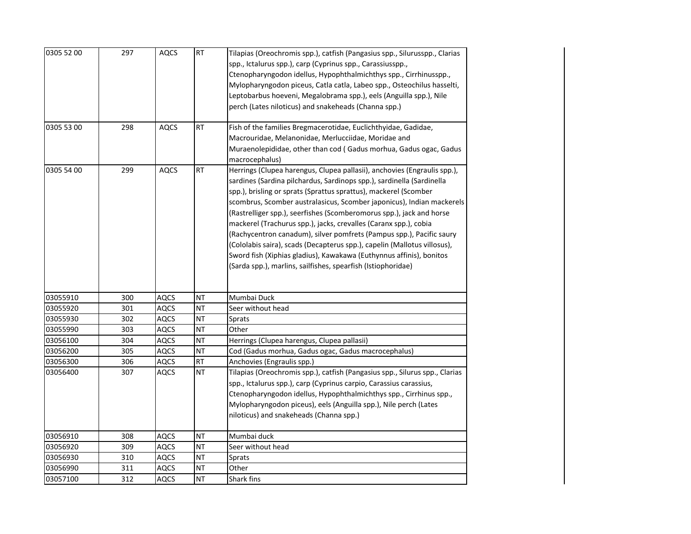| 0305 52 00<br>0305 53 00 | 297<br>298 | <b>AQCS</b><br><b>AQCS</b> | <b>RT</b><br><b>RT</b> | Tilapias (Oreochromis spp.), catfish (Pangasius spp., Silurusspp., Clarias<br>spp., Ictalurus spp.), carp (Cyprinus spp., Carassiusspp.,<br>Ctenopharyngodon idellus, Hypophthalmichthys spp., Cirrhinusspp.,<br>Mylopharyngodon piceus, Catla catla, Labeo spp., Osteochilus hasselti,<br>Leptobarbus hoeveni, Megalobrama spp.), eels (Anguilla spp.), Nile<br>perch (Lates niloticus) and snakeheads (Channa spp.)<br>Fish of the families Bregmacerotidae, Euclichthyidae, Gadidae,                                                                                                                                                                                                                                               |
|--------------------------|------------|----------------------------|------------------------|---------------------------------------------------------------------------------------------------------------------------------------------------------------------------------------------------------------------------------------------------------------------------------------------------------------------------------------------------------------------------------------------------------------------------------------------------------------------------------------------------------------------------------------------------------------------------------------------------------------------------------------------------------------------------------------------------------------------------------------|
|                          |            |                            |                        | Macrouridae, Melanonidae, Merlucciidae, Moridae and<br>Muraenolepididae, other than cod (Gadus morhua, Gadus ogac, Gadus<br>macrocephalus)                                                                                                                                                                                                                                                                                                                                                                                                                                                                                                                                                                                            |
| 0305 54 00               | 299        | <b>AQCS</b>                | <b>RT</b>              | Herrings (Clupea harengus, Clupea pallasii), anchovies (Engraulis spp.),<br>sardines (Sardina pilchardus, Sardinops spp.), sardinella (Sardinella<br>spp.), brisling or sprats (Sprattus sprattus), mackerel (Scomber<br>scombrus, Scomber australasicus, Scomber japonicus), Indian mackerels<br>(Rastrelliger spp.), seerfishes (Scomberomorus spp.), jack and horse<br>mackerel (Trachurus spp.), jacks, crevalles (Caranx spp.), cobia<br>(Rachycentron canadum), silver pomfrets (Pampus spp.), Pacific saury<br>(Cololabis saira), scads (Decapterus spp.), capelin (Mallotus villosus),<br>Sword fish (Xiphias gladius), Kawakawa (Euthynnus affinis), bonitos<br>(Sarda spp.), marlins, sailfishes, spearfish (Istiophoridae) |
| 03055910                 | 300        | <b>AQCS</b>                | <b>NT</b>              | Mumbai Duck                                                                                                                                                                                                                                                                                                                                                                                                                                                                                                                                                                                                                                                                                                                           |
| 03055920                 | 301        | <b>AQCS</b>                | <b>NT</b>              | Seer without head                                                                                                                                                                                                                                                                                                                                                                                                                                                                                                                                                                                                                                                                                                                     |
| 03055930                 | 302        | <b>AQCS</b>                | <b>NT</b>              | Sprats                                                                                                                                                                                                                                                                                                                                                                                                                                                                                                                                                                                                                                                                                                                                |
| 03055990                 | 303        | <b>AQCS</b>                | <b>NT</b>              | Other                                                                                                                                                                                                                                                                                                                                                                                                                                                                                                                                                                                                                                                                                                                                 |
| 03056100                 | 304        | AQCS                       | <b>NT</b>              | Herrings (Clupea harengus, Clupea pallasii)                                                                                                                                                                                                                                                                                                                                                                                                                                                                                                                                                                                                                                                                                           |
| 03056200                 | 305        | AQCS                       | <b>NT</b>              | Cod (Gadus morhua, Gadus ogac, Gadus macrocephalus)                                                                                                                                                                                                                                                                                                                                                                                                                                                                                                                                                                                                                                                                                   |
| 03056300                 | 306        | AQCS                       | <b>RT</b>              | Anchovies (Engraulis spp.)                                                                                                                                                                                                                                                                                                                                                                                                                                                                                                                                                                                                                                                                                                            |
| 03056400                 | 307        | <b>AQCS</b>                | <b>NT</b>              | Tilapias (Oreochromis spp.), catfish (Pangasius spp., Silurus spp., Clarias<br>spp., Ictalurus spp.), carp (Cyprinus carpio, Carassius carassius,<br>Ctenopharyngodon idellus, Hypophthalmichthys spp., Cirrhinus spp.,<br>Mylopharyngodon piceus), eels (Anguilla spp.), Nile perch (Lates<br>niloticus) and snakeheads (Channa spp.)                                                                                                                                                                                                                                                                                                                                                                                                |
| 03056910                 | 308        | <b>AQCS</b>                | <b>NT</b>              | Mumbai duck                                                                                                                                                                                                                                                                                                                                                                                                                                                                                                                                                                                                                                                                                                                           |
| 03056920                 | 309        | <b>AQCS</b>                | <b>NT</b>              | Seer without head                                                                                                                                                                                                                                                                                                                                                                                                                                                                                                                                                                                                                                                                                                                     |
| 03056930                 | 310        | AQCS                       | <b>NT</b>              | Sprats                                                                                                                                                                                                                                                                                                                                                                                                                                                                                                                                                                                                                                                                                                                                |
| 03056990                 | 311        | AQCS                       | <b>NT</b>              | Other                                                                                                                                                                                                                                                                                                                                                                                                                                                                                                                                                                                                                                                                                                                                 |
| 03057100                 | 312        | <b>AQCS</b>                | <b>NT</b>              | Shark fins                                                                                                                                                                                                                                                                                                                                                                                                                                                                                                                                                                                                                                                                                                                            |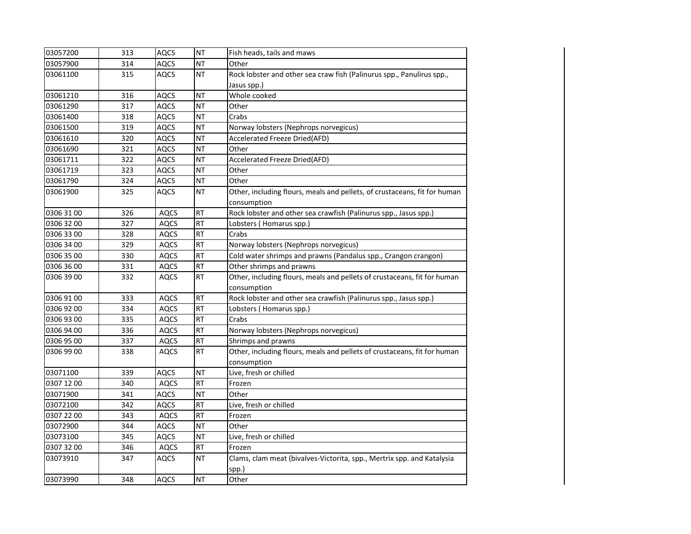| 03057200   | 313 | <b>AQCS</b> | <b>NT</b> | Fish heads, tails and maws                                                |
|------------|-----|-------------|-----------|---------------------------------------------------------------------------|
| 03057900   | 314 | <b>AQCS</b> | <b>NT</b> | Other                                                                     |
| 03061100   | 315 | <b>AQCS</b> | <b>NT</b> | Rock lobster and other sea craw fish (Palinurus spp., Panulirus spp.,     |
|            |     |             |           | Jasus spp.)                                                               |
| 03061210   | 316 | <b>AQCS</b> | <b>NT</b> | Whole cooked                                                              |
| 03061290   | 317 | <b>AQCS</b> | <b>NT</b> | Other                                                                     |
| 03061400   | 318 | <b>AQCS</b> | <b>NT</b> | Crabs                                                                     |
| 03061500   | 319 | <b>AQCS</b> | <b>NT</b> | Norway lobsters (Nephrops norvegicus)                                     |
| 03061610   | 320 | <b>AQCS</b> | <b>NT</b> | Accelerated Freeze Dried(AFD)                                             |
| 03061690   | 321 | <b>AQCS</b> | <b>NT</b> | Other                                                                     |
| 03061711   | 322 | <b>AQCS</b> | <b>NT</b> | Accelerated Freeze Dried(AFD)                                             |
| 03061719   | 323 | AQCS        | <b>NT</b> | Other                                                                     |
| 03061790   | 324 | <b>AQCS</b> | <b>NT</b> | Other                                                                     |
| 03061900   | 325 | <b>AQCS</b> | <b>NT</b> | Other, including flours, meals and pellets, of crustaceans, fit for human |
|            |     |             |           | consumption                                                               |
| 0306 31 00 | 326 | <b>AQCS</b> | <b>RT</b> | Rock lobster and other sea crawfish (Palinurus spp., Jasus spp.)          |
| 0306 32 00 | 327 | AQCS        | <b>RT</b> | Lobsters (Homarus spp.)                                                   |
| 0306 33 00 | 328 | <b>AQCS</b> | <b>RT</b> | Crabs                                                                     |
| 0306 34 00 | 329 | <b>AQCS</b> | <b>RT</b> | Norway lobsters (Nephrops norvegicus)                                     |
| 0306 35 00 | 330 | AQCS        | <b>RT</b> | Cold water shrimps and prawns (Pandalus spp., Crangon crangon)            |
| 0306 36 00 | 331 | AQCS        | <b>RT</b> | Other shrimps and prawns                                                  |
| 0306 39 00 | 332 | AQCS        | <b>RT</b> | Other, including flours, meals and pellets of crustaceans, fit for human  |
|            |     |             |           | consumption                                                               |
| 0306 91 00 | 333 | <b>AQCS</b> | RT        | Rock lobster and other sea crawfish (Palinurus spp., Jasus spp.)          |
| 0306 92 00 | 334 | <b>AQCS</b> | <b>RT</b> | Lobsters (Homarus spp.)                                                   |
| 0306 93 00 | 335 | <b>AQCS</b> | <b>RT</b> | Crabs                                                                     |
| 0306 94 00 | 336 | AQCS        | <b>RT</b> | Norway lobsters (Nephrops norvegicus)                                     |
| 0306 95 00 | 337 | AQCS        | <b>RT</b> | Shrimps and prawns                                                        |
| 0306 99 00 | 338 | <b>AQCS</b> | <b>RT</b> | Other, including flours, meals and pellets of crustaceans, fit for human  |
|            |     |             |           | consumption                                                               |
| 03071100   | 339 | <b>AQCS</b> | <b>NT</b> | Live, fresh or chilled                                                    |
| 0307 12 00 | 340 | AQCS        | <b>RT</b> | Frozen                                                                    |
| 03071900   | 341 | AQCS        | <b>NT</b> | Other                                                                     |
| 03072100   | 342 | <b>AQCS</b> | <b>RT</b> | Live, fresh or chilled                                                    |
| 0307 22 00 | 343 | <b>AQCS</b> | RT        | Frozen                                                                    |
| 03072900   | 344 | <b>AQCS</b> | <b>NT</b> | Other                                                                     |
| 03073100   | 345 | <b>AQCS</b> | <b>NT</b> | Live, fresh or chilled                                                    |
| 0307 32 00 | 346 | <b>AQCS</b> | <b>RT</b> | Frozen                                                                    |
| 03073910   | 347 | AQCS        | <b>NT</b> | Clams, clam meat (bivalves-Victorita, spp., Mertrix spp. and Katalysia    |
|            |     |             |           | spp.)                                                                     |
| 03073990   | 348 | <b>AQCS</b> | <b>TN</b> | Other                                                                     |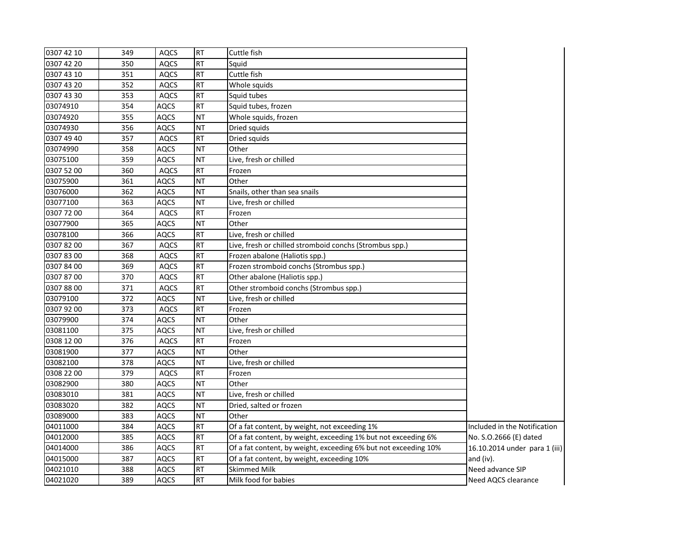| <b>RT</b><br>0307 42 10<br>349<br><b>AQCS</b><br>Cuttle fish<br><b>RT</b><br>0307 42 20<br>Squid<br>350<br><b>AQCS</b><br><b>RT</b><br>0307 43 10<br>351<br><b>AQCS</b><br>Cuttle fish<br>0307 43 20<br>352<br><b>RT</b><br>Whole squids<br><b>AQCS</b><br><b>RT</b><br>0307 43 30<br>353<br>Squid tubes<br><b>AQCS</b><br><b>RT</b><br>03074910<br>354<br>AQCS<br>Squid tubes, frozen<br>03074920<br>355<br><b>NT</b><br>Whole squids, frozen<br>AQCS<br><b>TN</b><br>03074930<br>356<br>AQCS<br>Dried squids<br><b>RT</b><br>0307 49 40<br>357<br>Dried squids<br><b>AQCS</b><br><b>NT</b><br>03074990<br>Other<br>358<br>AQCS<br>03075100<br><b>NT</b><br>Live, fresh or chilled<br>359<br>AQCS<br><b>RT</b><br>0307 52 00<br>360<br><b>AQCS</b><br>Frozen |                               |
|---------------------------------------------------------------------------------------------------------------------------------------------------------------------------------------------------------------------------------------------------------------------------------------------------------------------------------------------------------------------------------------------------------------------------------------------------------------------------------------------------------------------------------------------------------------------------------------------------------------------------------------------------------------------------------------------------------------------------------------------------------------|-------------------------------|
|                                                                                                                                                                                                                                                                                                                                                                                                                                                                                                                                                                                                                                                                                                                                                               |                               |
|                                                                                                                                                                                                                                                                                                                                                                                                                                                                                                                                                                                                                                                                                                                                                               |                               |
|                                                                                                                                                                                                                                                                                                                                                                                                                                                                                                                                                                                                                                                                                                                                                               |                               |
|                                                                                                                                                                                                                                                                                                                                                                                                                                                                                                                                                                                                                                                                                                                                                               |                               |
|                                                                                                                                                                                                                                                                                                                                                                                                                                                                                                                                                                                                                                                                                                                                                               |                               |
|                                                                                                                                                                                                                                                                                                                                                                                                                                                                                                                                                                                                                                                                                                                                                               |                               |
|                                                                                                                                                                                                                                                                                                                                                                                                                                                                                                                                                                                                                                                                                                                                                               |                               |
|                                                                                                                                                                                                                                                                                                                                                                                                                                                                                                                                                                                                                                                                                                                                                               |                               |
|                                                                                                                                                                                                                                                                                                                                                                                                                                                                                                                                                                                                                                                                                                                                                               |                               |
|                                                                                                                                                                                                                                                                                                                                                                                                                                                                                                                                                                                                                                                                                                                                                               |                               |
|                                                                                                                                                                                                                                                                                                                                                                                                                                                                                                                                                                                                                                                                                                                                                               |                               |
|                                                                                                                                                                                                                                                                                                                                                                                                                                                                                                                                                                                                                                                                                                                                                               |                               |
| <b>NT</b><br>03075900<br>361<br>AQCS<br>Other                                                                                                                                                                                                                                                                                                                                                                                                                                                                                                                                                                                                                                                                                                                 |                               |
| <b>NT</b><br>03076000<br>362<br>AQCS<br>Snails, other than sea snails                                                                                                                                                                                                                                                                                                                                                                                                                                                                                                                                                                                                                                                                                         |                               |
| 03077100<br>363<br><b>AQCS</b><br><b>NT</b><br>Live, fresh or chilled                                                                                                                                                                                                                                                                                                                                                                                                                                                                                                                                                                                                                                                                                         |                               |
| <b>RT</b><br>0307 72 00<br>364<br><b>AQCS</b><br>Frozen                                                                                                                                                                                                                                                                                                                                                                                                                                                                                                                                                                                                                                                                                                       |                               |
| <b>NT</b><br>03077900<br>Other<br>365<br>AQCS                                                                                                                                                                                                                                                                                                                                                                                                                                                                                                                                                                                                                                                                                                                 |                               |
| <b>RT</b><br>03078100<br>366<br>AQCS<br>Live, fresh or chilled                                                                                                                                                                                                                                                                                                                                                                                                                                                                                                                                                                                                                                                                                                |                               |
| <b>RT</b><br>03078200<br>367<br><b>AQCS</b><br>Live, fresh or chilled stromboid conchs (Strombus spp.)                                                                                                                                                                                                                                                                                                                                                                                                                                                                                                                                                                                                                                                        |                               |
| 0307 83 00<br><b>RT</b><br>368<br><b>AQCS</b><br>Frozen abalone (Haliotis spp.)                                                                                                                                                                                                                                                                                                                                                                                                                                                                                                                                                                                                                                                                               |                               |
| <b>RT</b><br>0307 84 00<br>Frozen stromboid conchs (Strombus spp.)<br>369<br><b>AQCS</b>                                                                                                                                                                                                                                                                                                                                                                                                                                                                                                                                                                                                                                                                      |                               |
| <b>RT</b><br>0307 87 00<br>Other abalone (Haliotis spp.)<br>370<br><b>AQCS</b>                                                                                                                                                                                                                                                                                                                                                                                                                                                                                                                                                                                                                                                                                |                               |
| <b>RT</b><br>371<br>Other stromboid conchs (Strombus spp.)<br>03078800<br>AQCS                                                                                                                                                                                                                                                                                                                                                                                                                                                                                                                                                                                                                                                                                |                               |
| <b>NT</b><br>372<br>Live, fresh or chilled<br>03079100<br><b>AQCS</b>                                                                                                                                                                                                                                                                                                                                                                                                                                                                                                                                                                                                                                                                                         |                               |
| <b>RT</b><br>0307 92 00<br>373<br>Frozen<br><b>AQCS</b>                                                                                                                                                                                                                                                                                                                                                                                                                                                                                                                                                                                                                                                                                                       |                               |
| <b>NT</b><br>03079900<br>374<br>Other<br>AQCS                                                                                                                                                                                                                                                                                                                                                                                                                                                                                                                                                                                                                                                                                                                 |                               |
| <b>TN</b><br>03081100<br>375<br>AQCS<br>Live, fresh or chilled                                                                                                                                                                                                                                                                                                                                                                                                                                                                                                                                                                                                                                                                                                |                               |
| 376<br><b>RT</b><br>0308 12 00<br>Frozen<br>AQCS                                                                                                                                                                                                                                                                                                                                                                                                                                                                                                                                                                                                                                                                                                              |                               |
| <b>NT</b><br>03081900<br>377<br>AQCS<br>Other                                                                                                                                                                                                                                                                                                                                                                                                                                                                                                                                                                                                                                                                                                                 |                               |
| 03082100<br><b>NT</b><br>378<br>AQCS<br>Live, fresh or chilled                                                                                                                                                                                                                                                                                                                                                                                                                                                                                                                                                                                                                                                                                                |                               |
| <b>RT</b><br>0308 22 00<br>379<br><b>AQCS</b><br>Frozen                                                                                                                                                                                                                                                                                                                                                                                                                                                                                                                                                                                                                                                                                                       |                               |
| 03082900<br><b>NT</b><br>380<br><b>AQCS</b><br>Other                                                                                                                                                                                                                                                                                                                                                                                                                                                                                                                                                                                                                                                                                                          |                               |
| 03083010<br><b>NT</b><br>Live, fresh or chilled<br>381<br>AQCS                                                                                                                                                                                                                                                                                                                                                                                                                                                                                                                                                                                                                                                                                                |                               |
| <b>NT</b><br>03083020<br>382<br><b>AQCS</b><br>Dried, salted or frozen                                                                                                                                                                                                                                                                                                                                                                                                                                                                                                                                                                                                                                                                                        |                               |
| <b>NT</b><br>03089000<br>383<br><b>AQCS</b><br>Other                                                                                                                                                                                                                                                                                                                                                                                                                                                                                                                                                                                                                                                                                                          |                               |
| <b>RT</b><br>04011000<br>384<br><b>AQCS</b><br>Of a fat content, by weight, not exceeding 1%                                                                                                                                                                                                                                                                                                                                                                                                                                                                                                                                                                                                                                                                  | Included in the Notification  |
| 04012000<br><b>RT</b><br>Of a fat content, by weight, exceeding 1% but not exceeding 6%<br>385<br>AQCS                                                                                                                                                                                                                                                                                                                                                                                                                                                                                                                                                                                                                                                        | No. S.O.2666 (E) dated        |
| <b>RT</b><br>04014000<br>Of a fat content, by weight, exceeding 6% but not exceeding 10%<br>386<br>AQCS                                                                                                                                                                                                                                                                                                                                                                                                                                                                                                                                                                                                                                                       | 16.10.2014 under para 1 (iii) |
| <b>RT</b><br>04015000<br>387<br><b>AQCS</b><br>Of a fat content, by weight, exceeding 10%                                                                                                                                                                                                                                                                                                                                                                                                                                                                                                                                                                                                                                                                     | and (iv).                     |
| <b>RT</b><br>388<br><b>AQCS</b><br><b>Skimmed Milk</b><br>04021010                                                                                                                                                                                                                                                                                                                                                                                                                                                                                                                                                                                                                                                                                            | Need advance SIP              |
| <b>RT</b><br>04021020<br>389<br><b>AQCS</b><br>Milk food for babies                                                                                                                                                                                                                                                                                                                                                                                                                                                                                                                                                                                                                                                                                           | Need AQCS clearance           |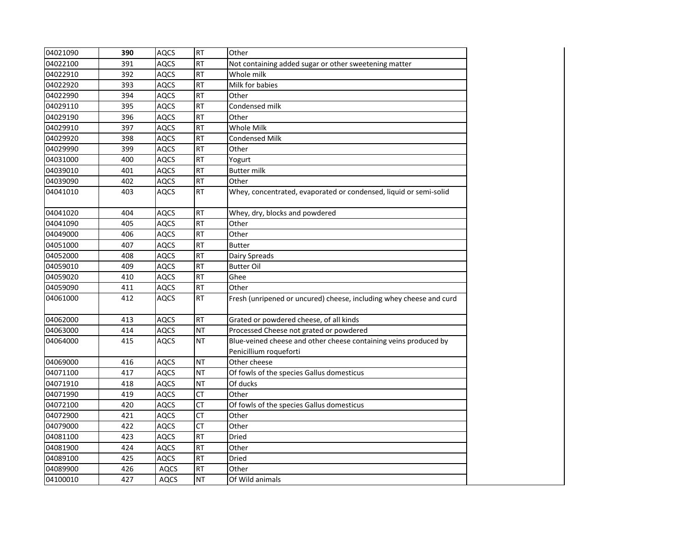| <b>RT</b><br>04022100<br><b>AQCS</b><br>391<br>Not containing added sugar or other sweetening matter<br><b>RT</b><br>Whole milk<br>04022910<br>392<br><b>AQCS</b><br>04022920<br>393<br><b>AQCS</b><br><b>RT</b><br>Milk for babies<br>RT<br>04022990<br>394<br><b>AQCS</b><br>Other<br>395<br><b>RT</b><br>Condensed milk<br>04029110<br><b>AQCS</b><br><b>RT</b><br>04029190<br>396<br><b>AQCS</b><br>Other<br><b>RT</b><br>Whole Milk<br>04029910<br>397<br>AQCS<br>04029920<br>398<br><b>AQCS</b><br><b>RT</b><br><b>Condensed Milk</b><br>04029990<br>399<br><b>AQCS</b><br><b>RT</b><br>Other<br><b>RT</b><br>04031000<br>400<br><b>AQCS</b><br>Yogurt<br><b>RT</b><br><b>Butter milk</b><br>401<br><b>AQCS</b><br>04039010<br><b>RT</b><br>402<br><b>AQCS</b><br>Other<br><b>RT</b><br><b>AQCS</b><br>403<br>Whey, concentrated, evaporated or condensed, liquid or semi-solid<br><b>AQCS</b><br><b>RT</b><br>04041020<br>404<br>Whey, dry, blocks and powdered<br><b>RT</b><br>04041090<br>405<br><b>AQCS</b><br>Other<br><b>RT</b><br>04049000<br>406<br><b>AQCS</b><br>Other<br>04051000<br><b>RT</b><br><b>Butter</b><br>407<br><b>AQCS</b><br>04052000<br><b>RT</b><br>408<br><b>AQCS</b><br>Dairy Spreads<br>04059010<br>409<br><b>AQCS</b><br><b>RT</b><br><b>Butter Oil</b><br>Ghee<br>04059020<br>410<br><b>AQCS</b><br><b>RT</b><br><b>RT</b><br>411<br>04059090<br><b>AQCS</b><br>Other<br><b>RT</b><br>04061000<br>412<br><b>AQCS</b><br>04062000<br><b>AQCS</b><br><b>RT</b><br>413<br>Grated or powdered cheese, of all kinds<br>04063000<br>414<br><b>AQCS</b><br><b>NT</b><br>Processed Cheese not grated or powdered<br><b>NT</b><br>Blue-veined cheese and other cheese containing veins produced by<br>415<br>AQCS<br>Penicillium roqueforti<br>04069000<br><b>AQCS</b><br><b>NT</b><br>Other cheese<br>416<br><b>NT</b><br>04071100<br>417<br><b>AQCS</b><br>Of fowls of the species Gallus domesticus<br><b>NT</b><br>418<br><b>AQCS</b><br>Of ducks<br><b>CT</b><br>Other<br>04071990<br>419<br><b>AQCS</b><br><b>CT</b><br>420<br><b>AQCS</b><br>Of fowls of the species Gallus domesticus<br>$\overline{CT}$<br>04072900<br>421<br><b>AQCS</b><br>Other<br>$\overline{CT}$<br><b>AQCS</b><br>Other<br>04079000<br>422<br>Dried<br>423<br><b>AQCS</b><br><b>RT</b><br>424<br><b>AQCS</b><br><b>RT</b><br>Other<br><b>RT</b><br>425<br><b>AQCS</b><br>Dried<br><b>RT</b><br>426<br><b>AQCS</b><br>Other<br><b>NT</b><br>427<br>AQCS<br>Of Wild animals |          |     |             |           |                                                                     |
|-------------------------------------------------------------------------------------------------------------------------------------------------------------------------------------------------------------------------------------------------------------------------------------------------------------------------------------------------------------------------------------------------------------------------------------------------------------------------------------------------------------------------------------------------------------------------------------------------------------------------------------------------------------------------------------------------------------------------------------------------------------------------------------------------------------------------------------------------------------------------------------------------------------------------------------------------------------------------------------------------------------------------------------------------------------------------------------------------------------------------------------------------------------------------------------------------------------------------------------------------------------------------------------------------------------------------------------------------------------------------------------------------------------------------------------------------------------------------------------------------------------------------------------------------------------------------------------------------------------------------------------------------------------------------------------------------------------------------------------------------------------------------------------------------------------------------------------------------------------------------------------------------------------------------------------------------------------------------------------------------------------------------------------------------------------------------------------------------------------------------------------------------------------------------------------------------------------------------------------------------------------------------------------------------------------------------------------------------------------------------------------------------------------------------------------------------------------------------------------|----------|-----|-------------|-----------|---------------------------------------------------------------------|
|                                                                                                                                                                                                                                                                                                                                                                                                                                                                                                                                                                                                                                                                                                                                                                                                                                                                                                                                                                                                                                                                                                                                                                                                                                                                                                                                                                                                                                                                                                                                                                                                                                                                                                                                                                                                                                                                                                                                                                                                                                                                                                                                                                                                                                                                                                                                                                                                                                                                                     | 04021090 | 390 | <b>AQCS</b> | <b>RT</b> | Other                                                               |
|                                                                                                                                                                                                                                                                                                                                                                                                                                                                                                                                                                                                                                                                                                                                                                                                                                                                                                                                                                                                                                                                                                                                                                                                                                                                                                                                                                                                                                                                                                                                                                                                                                                                                                                                                                                                                                                                                                                                                                                                                                                                                                                                                                                                                                                                                                                                                                                                                                                                                     |          |     |             |           |                                                                     |
|                                                                                                                                                                                                                                                                                                                                                                                                                                                                                                                                                                                                                                                                                                                                                                                                                                                                                                                                                                                                                                                                                                                                                                                                                                                                                                                                                                                                                                                                                                                                                                                                                                                                                                                                                                                                                                                                                                                                                                                                                                                                                                                                                                                                                                                                                                                                                                                                                                                                                     |          |     |             |           |                                                                     |
|                                                                                                                                                                                                                                                                                                                                                                                                                                                                                                                                                                                                                                                                                                                                                                                                                                                                                                                                                                                                                                                                                                                                                                                                                                                                                                                                                                                                                                                                                                                                                                                                                                                                                                                                                                                                                                                                                                                                                                                                                                                                                                                                                                                                                                                                                                                                                                                                                                                                                     |          |     |             |           |                                                                     |
|                                                                                                                                                                                                                                                                                                                                                                                                                                                                                                                                                                                                                                                                                                                                                                                                                                                                                                                                                                                                                                                                                                                                                                                                                                                                                                                                                                                                                                                                                                                                                                                                                                                                                                                                                                                                                                                                                                                                                                                                                                                                                                                                                                                                                                                                                                                                                                                                                                                                                     |          |     |             |           |                                                                     |
|                                                                                                                                                                                                                                                                                                                                                                                                                                                                                                                                                                                                                                                                                                                                                                                                                                                                                                                                                                                                                                                                                                                                                                                                                                                                                                                                                                                                                                                                                                                                                                                                                                                                                                                                                                                                                                                                                                                                                                                                                                                                                                                                                                                                                                                                                                                                                                                                                                                                                     |          |     |             |           |                                                                     |
|                                                                                                                                                                                                                                                                                                                                                                                                                                                                                                                                                                                                                                                                                                                                                                                                                                                                                                                                                                                                                                                                                                                                                                                                                                                                                                                                                                                                                                                                                                                                                                                                                                                                                                                                                                                                                                                                                                                                                                                                                                                                                                                                                                                                                                                                                                                                                                                                                                                                                     |          |     |             |           |                                                                     |
|                                                                                                                                                                                                                                                                                                                                                                                                                                                                                                                                                                                                                                                                                                                                                                                                                                                                                                                                                                                                                                                                                                                                                                                                                                                                                                                                                                                                                                                                                                                                                                                                                                                                                                                                                                                                                                                                                                                                                                                                                                                                                                                                                                                                                                                                                                                                                                                                                                                                                     |          |     |             |           |                                                                     |
|                                                                                                                                                                                                                                                                                                                                                                                                                                                                                                                                                                                                                                                                                                                                                                                                                                                                                                                                                                                                                                                                                                                                                                                                                                                                                                                                                                                                                                                                                                                                                                                                                                                                                                                                                                                                                                                                                                                                                                                                                                                                                                                                                                                                                                                                                                                                                                                                                                                                                     |          |     |             |           |                                                                     |
|                                                                                                                                                                                                                                                                                                                                                                                                                                                                                                                                                                                                                                                                                                                                                                                                                                                                                                                                                                                                                                                                                                                                                                                                                                                                                                                                                                                                                                                                                                                                                                                                                                                                                                                                                                                                                                                                                                                                                                                                                                                                                                                                                                                                                                                                                                                                                                                                                                                                                     |          |     |             |           |                                                                     |
|                                                                                                                                                                                                                                                                                                                                                                                                                                                                                                                                                                                                                                                                                                                                                                                                                                                                                                                                                                                                                                                                                                                                                                                                                                                                                                                                                                                                                                                                                                                                                                                                                                                                                                                                                                                                                                                                                                                                                                                                                                                                                                                                                                                                                                                                                                                                                                                                                                                                                     |          |     |             |           |                                                                     |
|                                                                                                                                                                                                                                                                                                                                                                                                                                                                                                                                                                                                                                                                                                                                                                                                                                                                                                                                                                                                                                                                                                                                                                                                                                                                                                                                                                                                                                                                                                                                                                                                                                                                                                                                                                                                                                                                                                                                                                                                                                                                                                                                                                                                                                                                                                                                                                                                                                                                                     |          |     |             |           |                                                                     |
|                                                                                                                                                                                                                                                                                                                                                                                                                                                                                                                                                                                                                                                                                                                                                                                                                                                                                                                                                                                                                                                                                                                                                                                                                                                                                                                                                                                                                                                                                                                                                                                                                                                                                                                                                                                                                                                                                                                                                                                                                                                                                                                                                                                                                                                                                                                                                                                                                                                                                     | 04039090 |     |             |           |                                                                     |
|                                                                                                                                                                                                                                                                                                                                                                                                                                                                                                                                                                                                                                                                                                                                                                                                                                                                                                                                                                                                                                                                                                                                                                                                                                                                                                                                                                                                                                                                                                                                                                                                                                                                                                                                                                                                                                                                                                                                                                                                                                                                                                                                                                                                                                                                                                                                                                                                                                                                                     | 04041010 |     |             |           |                                                                     |
|                                                                                                                                                                                                                                                                                                                                                                                                                                                                                                                                                                                                                                                                                                                                                                                                                                                                                                                                                                                                                                                                                                                                                                                                                                                                                                                                                                                                                                                                                                                                                                                                                                                                                                                                                                                                                                                                                                                                                                                                                                                                                                                                                                                                                                                                                                                                                                                                                                                                                     |          |     |             |           |                                                                     |
|                                                                                                                                                                                                                                                                                                                                                                                                                                                                                                                                                                                                                                                                                                                                                                                                                                                                                                                                                                                                                                                                                                                                                                                                                                                                                                                                                                                                                                                                                                                                                                                                                                                                                                                                                                                                                                                                                                                                                                                                                                                                                                                                                                                                                                                                                                                                                                                                                                                                                     |          |     |             |           |                                                                     |
|                                                                                                                                                                                                                                                                                                                                                                                                                                                                                                                                                                                                                                                                                                                                                                                                                                                                                                                                                                                                                                                                                                                                                                                                                                                                                                                                                                                                                                                                                                                                                                                                                                                                                                                                                                                                                                                                                                                                                                                                                                                                                                                                                                                                                                                                                                                                                                                                                                                                                     |          |     |             |           |                                                                     |
|                                                                                                                                                                                                                                                                                                                                                                                                                                                                                                                                                                                                                                                                                                                                                                                                                                                                                                                                                                                                                                                                                                                                                                                                                                                                                                                                                                                                                                                                                                                                                                                                                                                                                                                                                                                                                                                                                                                                                                                                                                                                                                                                                                                                                                                                                                                                                                                                                                                                                     |          |     |             |           |                                                                     |
|                                                                                                                                                                                                                                                                                                                                                                                                                                                                                                                                                                                                                                                                                                                                                                                                                                                                                                                                                                                                                                                                                                                                                                                                                                                                                                                                                                                                                                                                                                                                                                                                                                                                                                                                                                                                                                                                                                                                                                                                                                                                                                                                                                                                                                                                                                                                                                                                                                                                                     |          |     |             |           |                                                                     |
|                                                                                                                                                                                                                                                                                                                                                                                                                                                                                                                                                                                                                                                                                                                                                                                                                                                                                                                                                                                                                                                                                                                                                                                                                                                                                                                                                                                                                                                                                                                                                                                                                                                                                                                                                                                                                                                                                                                                                                                                                                                                                                                                                                                                                                                                                                                                                                                                                                                                                     |          |     |             |           |                                                                     |
|                                                                                                                                                                                                                                                                                                                                                                                                                                                                                                                                                                                                                                                                                                                                                                                                                                                                                                                                                                                                                                                                                                                                                                                                                                                                                                                                                                                                                                                                                                                                                                                                                                                                                                                                                                                                                                                                                                                                                                                                                                                                                                                                                                                                                                                                                                                                                                                                                                                                                     |          |     |             |           |                                                                     |
|                                                                                                                                                                                                                                                                                                                                                                                                                                                                                                                                                                                                                                                                                                                                                                                                                                                                                                                                                                                                                                                                                                                                                                                                                                                                                                                                                                                                                                                                                                                                                                                                                                                                                                                                                                                                                                                                                                                                                                                                                                                                                                                                                                                                                                                                                                                                                                                                                                                                                     |          |     |             |           |                                                                     |
|                                                                                                                                                                                                                                                                                                                                                                                                                                                                                                                                                                                                                                                                                                                                                                                                                                                                                                                                                                                                                                                                                                                                                                                                                                                                                                                                                                                                                                                                                                                                                                                                                                                                                                                                                                                                                                                                                                                                                                                                                                                                                                                                                                                                                                                                                                                                                                                                                                                                                     |          |     |             |           | Fresh (unripened or uncured) cheese, including whey cheese and curd |
|                                                                                                                                                                                                                                                                                                                                                                                                                                                                                                                                                                                                                                                                                                                                                                                                                                                                                                                                                                                                                                                                                                                                                                                                                                                                                                                                                                                                                                                                                                                                                                                                                                                                                                                                                                                                                                                                                                                                                                                                                                                                                                                                                                                                                                                                                                                                                                                                                                                                                     |          |     |             |           |                                                                     |
|                                                                                                                                                                                                                                                                                                                                                                                                                                                                                                                                                                                                                                                                                                                                                                                                                                                                                                                                                                                                                                                                                                                                                                                                                                                                                                                                                                                                                                                                                                                                                                                                                                                                                                                                                                                                                                                                                                                                                                                                                                                                                                                                                                                                                                                                                                                                                                                                                                                                                     |          |     |             |           |                                                                     |
|                                                                                                                                                                                                                                                                                                                                                                                                                                                                                                                                                                                                                                                                                                                                                                                                                                                                                                                                                                                                                                                                                                                                                                                                                                                                                                                                                                                                                                                                                                                                                                                                                                                                                                                                                                                                                                                                                                                                                                                                                                                                                                                                                                                                                                                                                                                                                                                                                                                                                     | 04064000 |     |             |           |                                                                     |
|                                                                                                                                                                                                                                                                                                                                                                                                                                                                                                                                                                                                                                                                                                                                                                                                                                                                                                                                                                                                                                                                                                                                                                                                                                                                                                                                                                                                                                                                                                                                                                                                                                                                                                                                                                                                                                                                                                                                                                                                                                                                                                                                                                                                                                                                                                                                                                                                                                                                                     |          |     |             |           |                                                                     |
|                                                                                                                                                                                                                                                                                                                                                                                                                                                                                                                                                                                                                                                                                                                                                                                                                                                                                                                                                                                                                                                                                                                                                                                                                                                                                                                                                                                                                                                                                                                                                                                                                                                                                                                                                                                                                                                                                                                                                                                                                                                                                                                                                                                                                                                                                                                                                                                                                                                                                     |          |     |             |           |                                                                     |
|                                                                                                                                                                                                                                                                                                                                                                                                                                                                                                                                                                                                                                                                                                                                                                                                                                                                                                                                                                                                                                                                                                                                                                                                                                                                                                                                                                                                                                                                                                                                                                                                                                                                                                                                                                                                                                                                                                                                                                                                                                                                                                                                                                                                                                                                                                                                                                                                                                                                                     |          |     |             |           |                                                                     |
|                                                                                                                                                                                                                                                                                                                                                                                                                                                                                                                                                                                                                                                                                                                                                                                                                                                                                                                                                                                                                                                                                                                                                                                                                                                                                                                                                                                                                                                                                                                                                                                                                                                                                                                                                                                                                                                                                                                                                                                                                                                                                                                                                                                                                                                                                                                                                                                                                                                                                     | 04071910 |     |             |           |                                                                     |
|                                                                                                                                                                                                                                                                                                                                                                                                                                                                                                                                                                                                                                                                                                                                                                                                                                                                                                                                                                                                                                                                                                                                                                                                                                                                                                                                                                                                                                                                                                                                                                                                                                                                                                                                                                                                                                                                                                                                                                                                                                                                                                                                                                                                                                                                                                                                                                                                                                                                                     |          |     |             |           |                                                                     |
|                                                                                                                                                                                                                                                                                                                                                                                                                                                                                                                                                                                                                                                                                                                                                                                                                                                                                                                                                                                                                                                                                                                                                                                                                                                                                                                                                                                                                                                                                                                                                                                                                                                                                                                                                                                                                                                                                                                                                                                                                                                                                                                                                                                                                                                                                                                                                                                                                                                                                     | 04072100 |     |             |           |                                                                     |
|                                                                                                                                                                                                                                                                                                                                                                                                                                                                                                                                                                                                                                                                                                                                                                                                                                                                                                                                                                                                                                                                                                                                                                                                                                                                                                                                                                                                                                                                                                                                                                                                                                                                                                                                                                                                                                                                                                                                                                                                                                                                                                                                                                                                                                                                                                                                                                                                                                                                                     |          |     |             |           |                                                                     |
|                                                                                                                                                                                                                                                                                                                                                                                                                                                                                                                                                                                                                                                                                                                                                                                                                                                                                                                                                                                                                                                                                                                                                                                                                                                                                                                                                                                                                                                                                                                                                                                                                                                                                                                                                                                                                                                                                                                                                                                                                                                                                                                                                                                                                                                                                                                                                                                                                                                                                     |          |     |             |           |                                                                     |
|                                                                                                                                                                                                                                                                                                                                                                                                                                                                                                                                                                                                                                                                                                                                                                                                                                                                                                                                                                                                                                                                                                                                                                                                                                                                                                                                                                                                                                                                                                                                                                                                                                                                                                                                                                                                                                                                                                                                                                                                                                                                                                                                                                                                                                                                                                                                                                                                                                                                                     | 04081100 |     |             |           |                                                                     |
|                                                                                                                                                                                                                                                                                                                                                                                                                                                                                                                                                                                                                                                                                                                                                                                                                                                                                                                                                                                                                                                                                                                                                                                                                                                                                                                                                                                                                                                                                                                                                                                                                                                                                                                                                                                                                                                                                                                                                                                                                                                                                                                                                                                                                                                                                                                                                                                                                                                                                     | 04081900 |     |             |           |                                                                     |
|                                                                                                                                                                                                                                                                                                                                                                                                                                                                                                                                                                                                                                                                                                                                                                                                                                                                                                                                                                                                                                                                                                                                                                                                                                                                                                                                                                                                                                                                                                                                                                                                                                                                                                                                                                                                                                                                                                                                                                                                                                                                                                                                                                                                                                                                                                                                                                                                                                                                                     | 04089100 |     |             |           |                                                                     |
|                                                                                                                                                                                                                                                                                                                                                                                                                                                                                                                                                                                                                                                                                                                                                                                                                                                                                                                                                                                                                                                                                                                                                                                                                                                                                                                                                                                                                                                                                                                                                                                                                                                                                                                                                                                                                                                                                                                                                                                                                                                                                                                                                                                                                                                                                                                                                                                                                                                                                     | 04089900 |     |             |           |                                                                     |
|                                                                                                                                                                                                                                                                                                                                                                                                                                                                                                                                                                                                                                                                                                                                                                                                                                                                                                                                                                                                                                                                                                                                                                                                                                                                                                                                                                                                                                                                                                                                                                                                                                                                                                                                                                                                                                                                                                                                                                                                                                                                                                                                                                                                                                                                                                                                                                                                                                                                                     | 04100010 |     |             |           |                                                                     |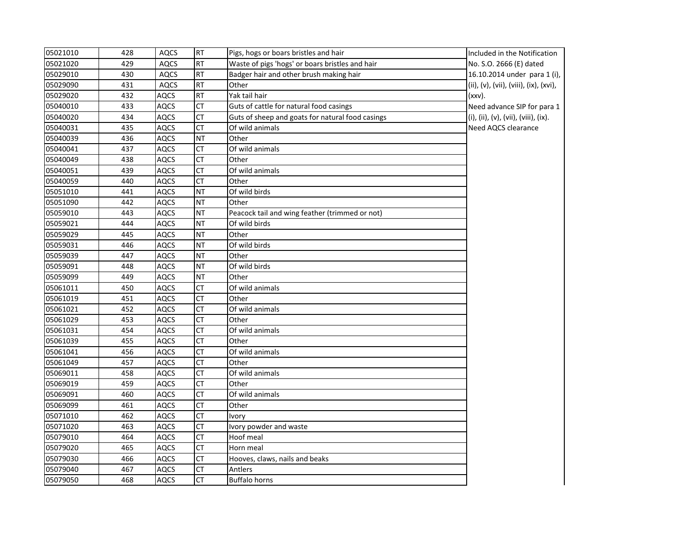| 05021010 | 428 | AQCS        | <b>RT</b>              | Pigs, hogs or boars bristles and hair            | Included in the Notification           |
|----------|-----|-------------|------------------------|--------------------------------------------------|----------------------------------------|
| 05021020 | 429 | <b>AQCS</b> | <b>RT</b>              | Waste of pigs 'hogs' or boars bristles and hair  | No. S.O. 2666 (E) dated                |
| 05029010 | 430 | <b>AQCS</b> | <b>RT</b>              | Badger hair and other brush making hair          | 16.10.2014 under para 1 (i),           |
| 05029090 | 431 | <b>AQCS</b> | RT                     | Other                                            | (ii), (v), (vii), (viii), (ix), (xvi), |
| 05029020 | 432 | <b>AQCS</b> | <b>RT</b>              | Yak tail hair                                    | (xxv).                                 |
| 05040010 | 433 | <b>AQCS</b> | <b>CT</b>              | Guts of cattle for natural food casings          | Need advance SIP for para 1            |
| 05040020 | 434 | <b>AQCS</b> | СT                     | Guts of sheep and goats for natural food casings | (i), (ii), (v), (vii), (viii), (ix).   |
| 05040031 | 435 | <b>AQCS</b> | <b>CT</b>              | Of wild animals                                  | Need AQCS clearance                    |
| 05040039 | 436 | <b>AQCS</b> | <b>NT</b>              | Other                                            |                                        |
| 05040041 | 437 | <b>AQCS</b> | CT                     | Of wild animals                                  |                                        |
| 05040049 | 438 | AQCS        | CT                     | Other                                            |                                        |
| 05040051 | 439 | <b>AQCS</b> | <b>CT</b>              | Of wild animals                                  |                                        |
| 05040059 | 440 | <b>AQCS</b> | <b>CT</b>              | Other                                            |                                        |
| 05051010 | 441 | <b>AQCS</b> | <b>NT</b>              | Of wild birds                                    |                                        |
| 05051090 | 442 | <b>AQCS</b> | <b>NT</b>              | Other                                            |                                        |
| 05059010 | 443 | <b>AQCS</b> | <b>NT</b>              | Peacock tail and wing feather (trimmed or not)   |                                        |
| 05059021 | 444 | <b>AQCS</b> | <b>NT</b>              | Of wild birds                                    |                                        |
| 05059029 | 445 | <b>AQCS</b> | <b>NT</b>              | Other                                            |                                        |
| 05059031 | 446 | <b>AQCS</b> | <b>NT</b>              | Of wild birds                                    |                                        |
| 05059039 | 447 | <b>AQCS</b> | <b>NT</b>              | Other                                            |                                        |
| 05059091 | 448 | <b>AQCS</b> | <b>NT</b>              | Of wild birds                                    |                                        |
| 05059099 | 449 | <b>AQCS</b> | <b>NT</b>              | Other                                            |                                        |
| 05061011 | 450 | <b>AQCS</b> | <b>CT</b>              | Of wild animals                                  |                                        |
| 05061019 | 451 | <b>AQCS</b> | <b>CT</b>              | Other                                            |                                        |
| 05061021 | 452 | <b>AQCS</b> | <b>CT</b>              | Of wild animals                                  |                                        |
| 05061029 | 453 | <b>AQCS</b> | <b>CT</b>              | Other                                            |                                        |
| 05061031 | 454 | <b>AQCS</b> | <b>CT</b>              | Of wild animals                                  |                                        |
| 05061039 | 455 | AQCS        | <b>CT</b>              | Other                                            |                                        |
| 05061041 | 456 | <b>AQCS</b> | CT                     | Of wild animals                                  |                                        |
| 05061049 | 457 | <b>AQCS</b> | $\overline{CT}$        | Other                                            |                                        |
| 05069011 | 458 | <b>AQCS</b> | CT                     | Of wild animals                                  |                                        |
| 05069019 | 459 | <b>AQCS</b> | <b>CT</b>              | Other                                            |                                        |
| 05069091 | 460 | <b>AQCS</b> | CT                     | Of wild animals                                  |                                        |
| 05069099 | 461 | <b>AQCS</b> | CT                     | Other                                            |                                        |
| 05071010 | 462 | <b>AQCS</b> | <b>CT</b>              | Ivory                                            |                                        |
| 05071020 | 463 | <b>AQCS</b> | $\overline{\text{CT}}$ | Ivory powder and waste                           |                                        |
| 05079010 | 464 | <b>AQCS</b> | <b>CT</b>              | Hoof meal                                        |                                        |
| 05079020 | 465 | <b>AQCS</b> | <b>CT</b>              | Horn meal                                        |                                        |
| 05079030 | 466 | <b>AQCS</b> | CT                     | Hooves, claws, nails and beaks                   |                                        |
| 05079040 | 467 | AQCS        | СT                     | Antlers                                          |                                        |
| 05079050 | 468 | <b>AQCS</b> | <b>CT</b>              | <b>Buffalo horns</b>                             |                                        |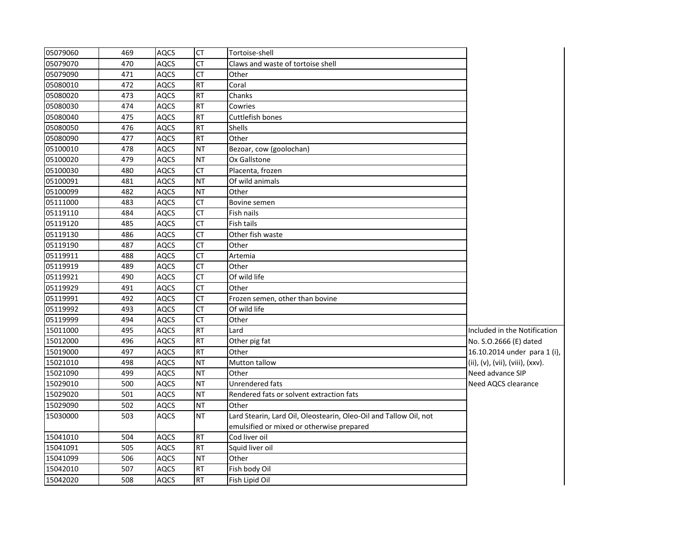| 05079060 | 469 | <b>AQCS</b> | <b>CT</b>       | Tortoise-shell                                                    |                                  |
|----------|-----|-------------|-----------------|-------------------------------------------------------------------|----------------------------------|
| 05079070 | 470 | <b>AQCS</b> | <b>CT</b>       | Claws and waste of tortoise shell                                 |                                  |
| 05079090 | 471 | <b>AQCS</b> | <b>CT</b>       | Other                                                             |                                  |
| 05080010 | 472 | <b>AQCS</b> | <b>RT</b>       | Coral                                                             |                                  |
| 05080020 | 473 | <b>AQCS</b> | RT              | Chanks                                                            |                                  |
| 05080030 | 474 | <b>AQCS</b> | <b>RT</b>       | Cowries                                                           |                                  |
| 05080040 | 475 | <b>AQCS</b> | RT              | Cuttlefish bones                                                  |                                  |
| 05080050 | 476 | <b>AQCS</b> | <b>RT</b>       | <b>Shells</b>                                                     |                                  |
| 05080090 | 477 | <b>AQCS</b> | <b>RT</b>       | Other                                                             |                                  |
| 05100010 | 478 | <b>AQCS</b> | <b>NT</b>       | Bezoar, cow (goolochan)                                           |                                  |
| 05100020 | 479 | <b>AQCS</b> | <b>NT</b>       | Ox Gallstone                                                      |                                  |
| 05100030 | 480 | <b>AQCS</b> | <b>CT</b>       | Placenta, frozen                                                  |                                  |
| 05100091 | 481 | <b>AQCS</b> | <b>NT</b>       | Of wild animals                                                   |                                  |
| 05100099 | 482 | <b>AQCS</b> | <b>NT</b>       | Other                                                             |                                  |
| 05111000 | 483 | <b>AQCS</b> | <b>CT</b>       | Bovine semen                                                      |                                  |
| 05119110 | 484 | <b>AQCS</b> | <b>CT</b>       | Fish nails                                                        |                                  |
| 05119120 | 485 | <b>AQCS</b> | <b>CT</b>       | Fish tails                                                        |                                  |
| 05119130 | 486 | <b>AQCS</b> | <b>CT</b>       | Other fish waste                                                  |                                  |
| 05119190 | 487 | <b>AQCS</b> | $\overline{CT}$ | Other                                                             |                                  |
| 05119911 | 488 | <b>AQCS</b> | <b>CT</b>       | Artemia                                                           |                                  |
| 05119919 | 489 | <b>AQCS</b> | <b>CT</b>       | Other                                                             |                                  |
| 05119921 | 490 | <b>AQCS</b> | <b>CT</b>       | Of wild life                                                      |                                  |
| 05119929 | 491 | <b>AQCS</b> | <b>CT</b>       | Other                                                             |                                  |
| 05119991 | 492 | <b>AQCS</b> | <b>CT</b>       | Frozen semen, other than bovine                                   |                                  |
| 05119992 | 493 | <b>AQCS</b> | CT              | Of wild life                                                      |                                  |
| 05119999 | 494 | <b>AQCS</b> | <b>CT</b>       | Other                                                             |                                  |
| 15011000 | 495 | <b>AQCS</b> | <b>RT</b>       | Lard                                                              | Included in the Notification     |
| 15012000 | 496 | <b>AQCS</b> | <b>RT</b>       | Other pig fat                                                     | No. S.O.2666 (E) dated           |
| 15019000 | 497 | <b>AQCS</b> | <b>RT</b>       | Other                                                             | 16.10.2014 under para 1 (i),     |
| 15021010 | 498 | <b>AQCS</b> | <b>NT</b>       | Mutton tallow                                                     | (ii), (v), (vii), (viii), (xxv). |
| 15021090 | 499 | <b>AQCS</b> | <b>NT</b>       | Other                                                             | Need advance SIP                 |
| 15029010 | 500 | <b>AQCS</b> | <b>NT</b>       | Unrendered fats                                                   | Need AQCS clearance              |
| 15029020 | 501 | <b>AQCS</b> | <b>NT</b>       | Rendered fats or solvent extraction fats                          |                                  |
| 15029090 | 502 | <b>AQCS</b> | <b>NT</b>       | Other                                                             |                                  |
| 15030000 | 503 | <b>AQCS</b> | <b>NT</b>       | Lard Stearin, Lard Oil, Oleostearin, Oleo-Oil and Tallow Oil, not |                                  |
|          |     |             |                 | emulsified or mixed or otherwise prepared                         |                                  |
| 15041010 | 504 | <b>AQCS</b> | <b>RT</b>       | Cod liver oil                                                     |                                  |
| 15041091 | 505 | <b>AQCS</b> | <b>RT</b>       | Squid liver oil                                                   |                                  |
| 15041099 | 506 | <b>AQCS</b> | <b>NT</b>       | Other                                                             |                                  |
| 15042010 | 507 | <b>AQCS</b> | <b>RT</b>       | Fish body Oil                                                     |                                  |
| 15042020 | 508 | <b>AQCS</b> | <b>RT</b>       | Fish Lipid Oil                                                    |                                  |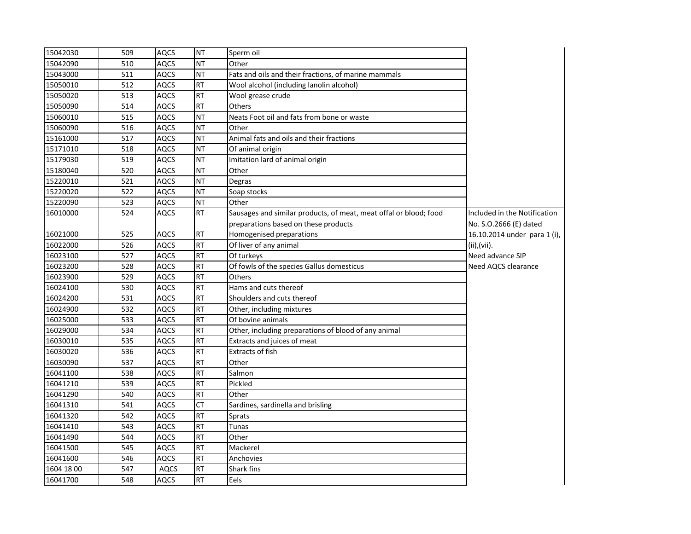| 15042030   | 509 | <b>AQCS</b> | <b>NT</b> | Sperm oil                                                         |                              |
|------------|-----|-------------|-----------|-------------------------------------------------------------------|------------------------------|
| 15042090   | 510 | AQCS        | <b>NT</b> | Other                                                             |                              |
| 15043000   | 511 | <b>AQCS</b> | <b>NT</b> | Fats and oils and their fractions, of marine mammals              |                              |
| 15050010   | 512 | <b>AQCS</b> | <b>RT</b> | Wool alcohol (including lanolin alcohol)                          |                              |
| 15050020   | 513 | AQCS        | <b>RT</b> | Wool grease crude                                                 |                              |
| 15050090   | 514 | <b>AQCS</b> | <b>RT</b> | Others                                                            |                              |
| 15060010   | 515 | <b>AQCS</b> | <b>NT</b> | Neats Foot oil and fats from bone or waste                        |                              |
| 15060090   | 516 | <b>AQCS</b> | <b>NT</b> | Other                                                             |                              |
| 15161000   | 517 | <b>AQCS</b> | <b>NT</b> | Animal fats and oils and their fractions                          |                              |
| 15171010   | 518 | <b>AQCS</b> | <b>NT</b> | Of animal origin                                                  |                              |
| 15179030   | 519 | <b>AQCS</b> | <b>NT</b> | Imitation lard of animal origin                                   |                              |
| 15180040   | 520 | <b>AQCS</b> | <b>NT</b> | Other                                                             |                              |
| 15220010   | 521 | <b>AQCS</b> | <b>NT</b> | Degras                                                            |                              |
| 15220020   | 522 | <b>AQCS</b> | <b>NT</b> | Soap stocks                                                       |                              |
| 15220090   | 523 | <b>AQCS</b> | <b>NT</b> | Other                                                             |                              |
| 16010000   | 524 | <b>AQCS</b> | <b>RT</b> | Sausages and similar products, of meat, meat offal or blood; food | Included in the Notification |
|            |     |             |           | preparations based on these products                              | No. S.O.2666 (E) dated       |
| 16021000   | 525 | <b>AQCS</b> | <b>RT</b> | Homogenised preparations                                          | 16.10.2014 under para 1 (i), |
| 16022000   | 526 | <b>AQCS</b> | <b>RT</b> | Of liver of any animal                                            | (ii), (vii).                 |
| 16023100   | 527 | <b>AQCS</b> | <b>RT</b> | Of turkeys                                                        | Need advance SIP             |
| 16023200   | 528 | <b>AQCS</b> | <b>RT</b> | Of fowls of the species Gallus domesticus                         | Need AQCS clearance          |
| 16023900   | 529 | <b>AQCS</b> | <b>RT</b> | <b>Others</b>                                                     |                              |
| 16024100   | 530 | <b>AQCS</b> | <b>RT</b> | Hams and cuts thereof                                             |                              |
| 16024200   | 531 | <b>AQCS</b> | <b>RT</b> | Shoulders and cuts thereof                                        |                              |
| 16024900   | 532 | <b>AQCS</b> | <b>RT</b> | Other, including mixtures                                         |                              |
| 16025000   | 533 | <b>AQCS</b> | <b>RT</b> | Of bovine animals                                                 |                              |
| 16029000   | 534 | <b>AQCS</b> | <b>RT</b> | Other, including preparations of blood of any animal              |                              |
| 16030010   | 535 | <b>AQCS</b> | <b>RT</b> | Extracts and juices of meat                                       |                              |
| 16030020   | 536 | <b>AQCS</b> | <b>RT</b> | Extracts of fish                                                  |                              |
| 16030090   | 537 | <b>AQCS</b> | <b>RT</b> | Other                                                             |                              |
| 16041100   | 538 | <b>AQCS</b> | <b>RT</b> | Salmon                                                            |                              |
| 16041210   | 539 | <b>AQCS</b> | <b>RT</b> | Pickled                                                           |                              |
| 16041290   | 540 | <b>AQCS</b> | <b>RT</b> | Other                                                             |                              |
| 16041310   | 541 | <b>AQCS</b> | <b>CT</b> | Sardines, sardinella and brisling                                 |                              |
| 16041320   | 542 | <b>AQCS</b> | <b>RT</b> | Sprats                                                            |                              |
| 16041410   | 543 | AQCS        | <b>RT</b> | Tunas                                                             |                              |
| 16041490   | 544 | <b>AQCS</b> | <b>RT</b> | Other                                                             |                              |
| 16041500   | 545 | <b>AQCS</b> | <b>RT</b> | Mackerel                                                          |                              |
| 16041600   | 546 | AQCS        | <b>RT</b> | Anchovies                                                         |                              |
| 1604 18 00 | 547 | <b>AQCS</b> | <b>RT</b> | Shark fins                                                        |                              |
| 16041700   | 548 | <b>AQCS</b> | <b>RT</b> | Eels                                                              |                              |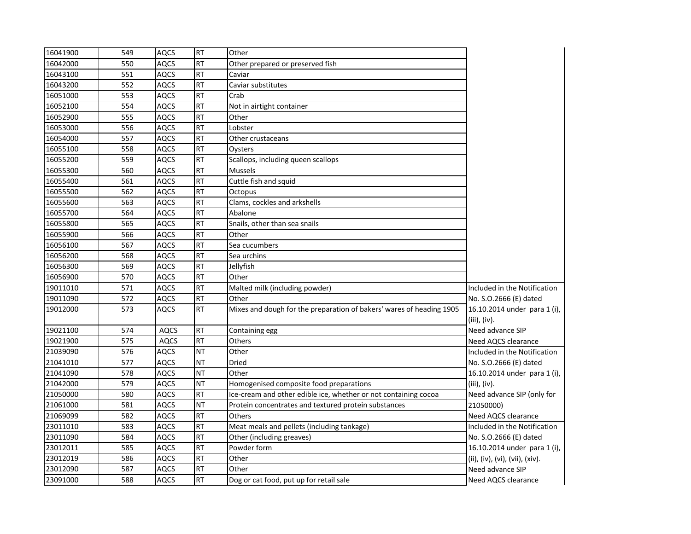| 16041900 | 549 | <b>AQCS</b> | <b>RT</b> | Other                                                                |                                 |
|----------|-----|-------------|-----------|----------------------------------------------------------------------|---------------------------------|
| 16042000 | 550 | <b>AQCS</b> | <b>RT</b> | Other prepared or preserved fish                                     |                                 |
| 16043100 | 551 | <b>AQCS</b> | <b>RT</b> | Caviar                                                               |                                 |
| 16043200 | 552 | <b>AQCS</b> | <b>RT</b> | Caviar substitutes                                                   |                                 |
| 16051000 | 553 | <b>AQCS</b> | <b>RT</b> | Crab                                                                 |                                 |
| 16052100 | 554 | <b>AQCS</b> | <b>RT</b> | Not in airtight container                                            |                                 |
| 16052900 | 555 | <b>AQCS</b> | <b>RT</b> | Other                                                                |                                 |
| 16053000 | 556 | <b>AQCS</b> | <b>RT</b> | Lobster                                                              |                                 |
| 16054000 | 557 | <b>AQCS</b> | <b>RT</b> | Other crustaceans                                                    |                                 |
| 16055100 | 558 | AQCS        | <b>RT</b> | Oysters                                                              |                                 |
| 16055200 | 559 | <b>AQCS</b> | <b>RT</b> | Scallops, including queen scallops                                   |                                 |
| 16055300 | 560 | <b>AQCS</b> | <b>RT</b> | <b>Mussels</b>                                                       |                                 |
| 16055400 | 561 | <b>AQCS</b> | <b>RT</b> | Cuttle fish and squid                                                |                                 |
| 16055500 | 562 | <b>AQCS</b> | <b>RT</b> | Octopus                                                              |                                 |
| 16055600 | 563 | <b>AQCS</b> | <b>RT</b> | Clams, cockles and arkshells                                         |                                 |
| 16055700 | 564 | <b>AQCS</b> | <b>RT</b> | Abalone                                                              |                                 |
| 16055800 | 565 | AQCS        | <b>RT</b> | Snails, other than sea snails                                        |                                 |
| 16055900 | 566 | <b>AQCS</b> | <b>RT</b> | Other                                                                |                                 |
| 16056100 | 567 | <b>AQCS</b> | <b>RT</b> | Sea cucumbers                                                        |                                 |
| 16056200 | 568 | <b>AQCS</b> | <b>RT</b> | Sea urchins                                                          |                                 |
| 16056300 | 569 | <b>AQCS</b> | <b>RT</b> | Jellyfish                                                            |                                 |
| 16056900 | 570 | <b>AQCS</b> | <b>RT</b> | Other                                                                |                                 |
| 19011010 | 571 | <b>AQCS</b> | <b>RT</b> | Malted milk (including powder)                                       | Included in the Notification    |
| 19011090 | 572 | <b>AQCS</b> | <b>RT</b> | Other                                                                | No. S.O.2666 (E) dated          |
| 19012000 | 573 | AQCS        | <b>RT</b> | Mixes and dough for the preparation of bakers' wares of heading 1905 | 16.10.2014 under para 1 (i),    |
|          |     |             |           |                                                                      | (iii), (iv).                    |
| 19021100 | 574 | <b>AQCS</b> | <b>RT</b> | Containing egg                                                       | Need advance SIP                |
| 19021900 | 575 | <b>AQCS</b> | <b>RT</b> | Others                                                               | Need AQCS clearance             |
| 21039090 | 576 | <b>AQCS</b> | <b>NT</b> | Other                                                                | Included in the Notification    |
| 21041010 | 577 | AQCS        | <b>NT</b> | Dried                                                                | No. S.O.2666 (E) dated          |
| 21041090 | 578 | <b>AQCS</b> | <b>NT</b> | Other                                                                | 16.10.2014 under para 1 (i),    |
| 21042000 | 579 | <b>AQCS</b> | <b>NT</b> | Homogenised composite food preparations                              | $(iii)$ , $(iv)$ .              |
| 21050000 | 580 | <b>AQCS</b> | <b>RT</b> | Ice-cream and other edible ice, whether or not containing cocoa      | Need advance SIP (only for      |
| 21061000 | 581 | <b>AQCS</b> | <b>NT</b> | Protein concentrates and textured protein substances                 | 21050000)                       |
| 21069099 | 582 | <b>AQCS</b> | <b>RT</b> | Others                                                               | Need AQCS clearance             |
| 23011010 | 583 | AQCS        | <b>RT</b> | Meat meals and pellets (including tankage)                           | Included in the Notification    |
| 23011090 | 584 | <b>AQCS</b> | <b>RT</b> | Other (including greaves)                                            | No. S.O.2666 (E) dated          |
| 23012011 | 585 | <b>AQCS</b> | <b>RT</b> | Powder form                                                          | 16.10.2014 under para 1 (i),    |
| 23012019 | 586 | <b>AQCS</b> | <b>RT</b> | Other                                                                | (ii), (iv), (vi), (vii), (xiv). |
| 23012090 | 587 | <b>AQCS</b> | <b>RT</b> | Other                                                                | Need advance SIP                |
| 23091000 | 588 | <b>AQCS</b> | <b>RT</b> | Dog or cat food, put up for retail sale                              | Need AQCS clearance             |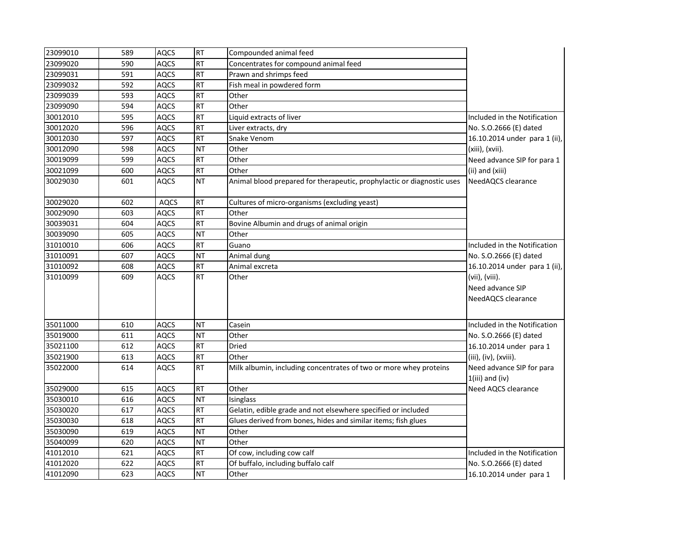| 23099010 | 589 | <b>AQCS</b> | <b>RT</b> | Compounded animal feed                                                 |                                                |
|----------|-----|-------------|-----------|------------------------------------------------------------------------|------------------------------------------------|
| 23099020 | 590 | <b>AQCS</b> | <b>RT</b> | Concentrates for compound animal feed                                  |                                                |
| 23099031 | 591 | <b>AQCS</b> | <b>RT</b> | Prawn and shrimps feed                                                 |                                                |
| 23099032 | 592 | <b>AQCS</b> | <b>RT</b> | Fish meal in powdered form                                             |                                                |
| 23099039 | 593 | <b>AQCS</b> | <b>RT</b> | Other                                                                  |                                                |
| 23099090 | 594 | <b>AQCS</b> | <b>RT</b> | Other                                                                  |                                                |
| 30012010 | 595 | <b>AQCS</b> | <b>RT</b> | Liquid extracts of liver                                               | Included in the Notification                   |
| 30012020 | 596 | AQCS        | <b>RT</b> | Liver extracts, dry                                                    | No. S.O.2666 (E) dated                         |
| 30012030 | 597 | <b>AQCS</b> | <b>RT</b> | Snake Venom                                                            | 16.10.2014 under para 1 (ii),                  |
| 30012090 | 598 | <b>AQCS</b> | <b>NT</b> | Other                                                                  | (xiii), (xvii).                                |
| 30019099 | 599 | <b>AQCS</b> | <b>RT</b> | Other                                                                  | Need advance SIP for para 1                    |
| 30021099 | 600 | <b>AQCS</b> | <b>RT</b> | Other                                                                  | (ii) and (xiii)                                |
| 30029030 | 601 | <b>AQCS</b> | <b>NT</b> | Animal blood prepared for therapeutic, prophylactic or diagnostic uses | NeedAQCS clearance                             |
| 30029020 | 602 | <b>AQCS</b> | <b>RT</b> | Cultures of micro-organisms (excluding yeast)                          |                                                |
| 30029090 | 603 | <b>AQCS</b> | <b>RT</b> | Other                                                                  |                                                |
| 30039031 | 604 | <b>AQCS</b> | <b>RT</b> | Bovine Albumin and drugs of animal origin                              |                                                |
| 30039090 | 605 | <b>AQCS</b> | <b>NT</b> | Other                                                                  |                                                |
| 31010010 | 606 | <b>AQCS</b> | <b>RT</b> | Guano                                                                  | Included in the Notification                   |
| 31010091 | 607 | <b>AQCS</b> | <b>NT</b> | Animal dung                                                            | No. S.O.2666 (E) dated                         |
| 31010092 | 608 | AQCS        | <b>RT</b> | Animal excreta                                                         | 16.10.2014 under para 1 (ii),                  |
| 31010099 | 609 | <b>AQCS</b> | <b>RT</b> | Other                                                                  | (vii), (viii).                                 |
|          |     |             |           |                                                                        | Need advance SIP                               |
|          |     |             |           |                                                                        | NeedAQCS clearance                             |
| 35011000 | 610 | AQCS        | <b>NT</b> | Casein                                                                 | Included in the Notification                   |
| 35019000 | 611 | <b>AQCS</b> | <b>NT</b> | Other                                                                  | No. S.O.2666 (E) dated                         |
| 35021100 | 612 | <b>AQCS</b> | <b>RT</b> | Dried                                                                  | 16.10.2014 under para 1                        |
| 35021900 | 613 | <b>AQCS</b> | <b>RT</b> | Other                                                                  | (iii), (iv), (xviii).                          |
| 35022000 | 614 | <b>AQCS</b> | <b>RT</b> | Milk albumin, including concentrates of two or more whey proteins      | Need advance SIP for para<br>$1(iii)$ and (iv) |
| 35029000 | 615 | <b>AQCS</b> | <b>RT</b> | Other                                                                  | Need AQCS clearance                            |
| 35030010 | 616 | AQCS        | <b>NT</b> | Isinglass                                                              |                                                |
| 35030020 | 617 | <b>AQCS</b> | <b>RT</b> | Gelatin, edible grade and not elsewhere specified or included          |                                                |
| 35030030 | 618 | <b>AQCS</b> | <b>RT</b> | Glues derived from bones, hides and similar items; fish glues          |                                                |
| 35030090 | 619 | <b>AQCS</b> | <b>NT</b> | Other                                                                  |                                                |
| 35040099 | 620 | <b>AQCS</b> | <b>NT</b> | Other                                                                  |                                                |
| 41012010 | 621 | AQCS        | <b>RT</b> | Of cow, including cow calf                                             | Included in the Notification                   |
| 41012020 | 622 | <b>AQCS</b> | <b>RT</b> | Of buffalo, including buffalo calf                                     | No. S.O.2666 (E) dated                         |
| 41012090 | 623 | <b>AQCS</b> | <b>NT</b> | Other                                                                  | 16.10.2014 under para 1                        |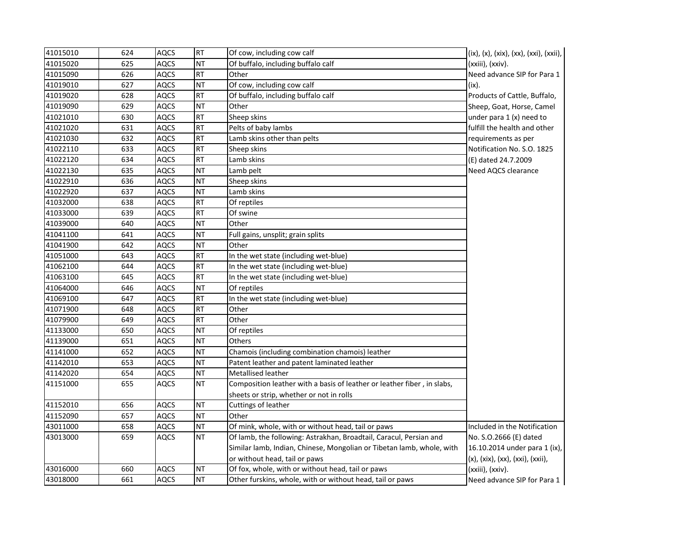| 41015010 | 624 | <b>AQCS</b> | <b>RT</b> | Of cow, including cow calf                                              | (ix), (x), (xix), (xx), (xxi), (xxii), |
|----------|-----|-------------|-----------|-------------------------------------------------------------------------|----------------------------------------|
| 41015020 | 625 | <b>AQCS</b> | <b>NT</b> | Of buffalo, including buffalo calf                                      | (xxiii), (xxiv).                       |
| 41015090 | 626 | <b>AQCS</b> | <b>RT</b> | Other                                                                   | Need advance SIP for Para 1            |
| 41019010 | 627 | <b>AQCS</b> | <b>NT</b> | Of cow, including cow calf                                              | (ix).                                  |
| 41019020 | 628 | <b>AQCS</b> | <b>RT</b> | Of buffalo, including buffalo calf                                      | Products of Cattle, Buffalo,           |
| 41019090 | 629 | <b>AQCS</b> | <b>NT</b> | Other                                                                   | Sheep, Goat, Horse, Camel              |
| 41021010 | 630 | <b>AQCS</b> | <b>RT</b> | Sheep skins                                                             | under para 1 (x) need to               |
| 41021020 | 631 | <b>AQCS</b> | <b>RT</b> | Pelts of baby lambs                                                     | fulfill the health and other           |
| 41021030 | 632 | <b>AQCS</b> | <b>RT</b> | Lamb skins other than pelts                                             | requirements as per                    |
| 41022110 | 633 | <b>AQCS</b> | <b>RT</b> | Sheep skins                                                             | Notification No. S.O. 1825             |
| 41022120 | 634 | AQCS        | <b>RT</b> | Lamb skins                                                              | (E) dated 24.7.2009                    |
| 41022130 | 635 | <b>AQCS</b> | <b>NT</b> | Lamb pelt                                                               | Need AQCS clearance                    |
| 41022910 | 636 | <b>AQCS</b> | <b>NT</b> | Sheep skins                                                             |                                        |
| 41022920 | 637 | <b>AQCS</b> | <b>NT</b> | Lamb skins                                                              |                                        |
| 41032000 | 638 | <b>AQCS</b> | <b>RT</b> | Of reptiles                                                             |                                        |
| 41033000 | 639 | <b>AQCS</b> | <b>RT</b> | Of swine                                                                |                                        |
| 41039000 | 640 | <b>AQCS</b> | <b>NT</b> | Other                                                                   |                                        |
| 41041100 | 641 | AQCS        | <b>NT</b> | Full gains, unsplit; grain splits                                       |                                        |
| 41041900 | 642 | <b>AQCS</b> | <b>NT</b> | Other                                                                   |                                        |
| 41051000 | 643 | AQCS        | <b>RT</b> | In the wet state (including wet-blue)                                   |                                        |
| 41062100 | 644 | <b>AQCS</b> | <b>RT</b> | In the wet state (including wet-blue)                                   |                                        |
| 41063100 | 645 | <b>AQCS</b> | <b>RT</b> | In the wet state (including wet-blue)                                   |                                        |
| 41064000 | 646 | <b>AQCS</b> | <b>NT</b> | Of reptiles                                                             |                                        |
| 41069100 | 647 | <b>AQCS</b> | <b>RT</b> | In the wet state (including wet-blue)                                   |                                        |
| 41071900 | 648 | <b>AQCS</b> | <b>RT</b> | Other                                                                   |                                        |
| 41079900 | 649 | <b>AQCS</b> | <b>RT</b> | Other                                                                   |                                        |
| 41133000 | 650 | <b>AQCS</b> | <b>NT</b> | Of reptiles                                                             |                                        |
| 41139000 | 651 | <b>AQCS</b> | <b>NT</b> | Others                                                                  |                                        |
| 41141000 | 652 | <b>AQCS</b> | <b>NT</b> | Chamois (including combination chamois) leather                         |                                        |
| 41142010 | 653 | <b>AQCS</b> | <b>NT</b> | Patent leather and patent laminated leather                             |                                        |
| 41142020 | 654 | <b>AQCS</b> | <b>NT</b> | Metallised leather                                                      |                                        |
| 41151000 | 655 | AQCS        | <b>NT</b> | Composition leather with a basis of leather or leather fiber, in slabs, |                                        |
|          |     |             |           | sheets or strip, whether or not in rolls                                |                                        |
| 41152010 | 656 | <b>AQCS</b> | <b>NT</b> | Cuttings of leather                                                     |                                        |
| 41152090 | 657 | <b>AQCS</b> | <b>NT</b> | Other                                                                   |                                        |
| 43011000 | 658 | <b>AQCS</b> | <b>NT</b> | Of mink, whole, with or without head, tail or paws                      | Included in the Notification           |
| 43013000 | 659 | <b>AQCS</b> | <b>NT</b> | Of lamb, the following: Astrakhan, Broadtail, Caracul, Persian and      | No. S.O.2666 (E) dated                 |
|          |     |             |           | Similar lamb, Indian, Chinese, Mongolian or Tibetan lamb, whole, with   | 16.10.2014 under para 1 (ix),          |
|          |     |             |           | or without head, tail or paws                                           | (x), (xix), (xx), (xxi), (xxii),       |
| 43016000 | 660 | <b>AQCS</b> | <b>NT</b> | Of fox, whole, with or without head, tail or paws                       | (xxiii), (xxiv).                       |
| 43018000 | 661 | <b>AQCS</b> | <b>NT</b> | Other furskins, whole, with or without head, tail or paws               | Need advance SIP for Para 1            |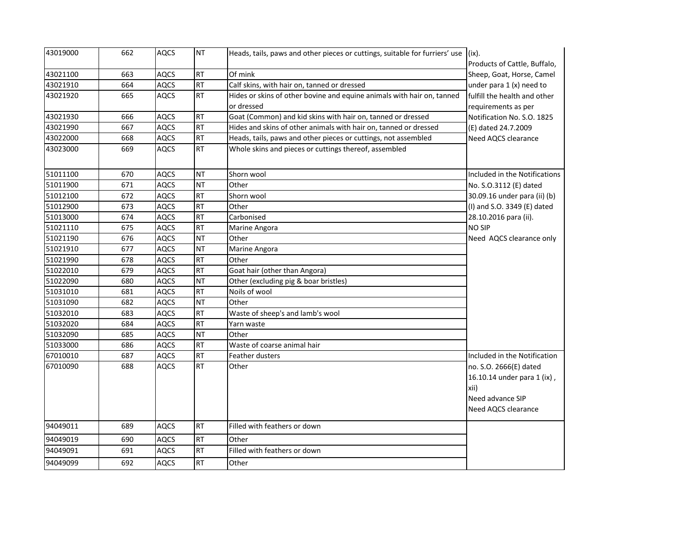| 43019000 | 662 | <b>AQCS</b> | <b>NT</b> | Heads, tails, paws and other pieces or cuttings, suitable for furriers' use $(x)$ . | Products of Cattle, Buffalo,                                                                             |
|----------|-----|-------------|-----------|-------------------------------------------------------------------------------------|----------------------------------------------------------------------------------------------------------|
| 43021100 | 663 | <b>AQCS</b> | <b>RT</b> | Of mink                                                                             | Sheep, Goat, Horse, Camel                                                                                |
| 43021910 | 664 | <b>AQCS</b> | <b>RT</b> | Calf skins, with hair on, tanned or dressed                                         | under para $1(x)$ need to                                                                                |
| 43021920 | 665 | <b>AQCS</b> | <b>RT</b> | Hides or skins of other bovine and equine animals with hair on, tanned              | fulfill the health and other                                                                             |
|          |     |             |           | or dressed                                                                          | requirements as per                                                                                      |
| 43021930 | 666 | <b>AQCS</b> | <b>RT</b> | Goat (Common) and kid skins with hair on, tanned or dressed                         | Notification No. S.O. 1825                                                                               |
| 43021990 | 667 | <b>AQCS</b> | <b>RT</b> | Hides and skins of other animals with hair on, tanned or dressed                    | (E) dated 24.7.2009                                                                                      |
| 43022000 | 668 | <b>AQCS</b> | <b>RT</b> | Heads, tails, paws and other pieces or cuttings, not assembled                      | Need AQCS clearance                                                                                      |
| 43023000 | 669 | <b>AQCS</b> | RT        | Whole skins and pieces or cuttings thereof, assembled                               |                                                                                                          |
| 51011100 | 670 | <b>AQCS</b> | <b>NT</b> | Shorn wool                                                                          | Included in the Notifications                                                                            |
| 51011900 | 671 | <b>AQCS</b> | <b>NT</b> | Other                                                                               | No. S.O.3112 (E) dated                                                                                   |
| 51012100 | 672 | <b>AQCS</b> | <b>RT</b> | Shorn wool                                                                          | 30.09.16 under para (ii) (b)                                                                             |
| 51012900 | 673 | <b>AQCS</b> | <b>RT</b> | Other                                                                               | (I) and S.O. 3349 (E) dated                                                                              |
| 51013000 | 674 | <b>AQCS</b> | <b>RT</b> | Carbonised                                                                          | 28.10.2016 para (ii).                                                                                    |
| 51021110 | 675 | <b>AQCS</b> | RT        | Marine Angora                                                                       | <b>NO SIP</b>                                                                                            |
| 51021190 | 676 | <b>AQCS</b> | <b>NT</b> | Other                                                                               | Need AQCS clearance only                                                                                 |
| 51021910 | 677 | <b>AQCS</b> | <b>NT</b> | Marine Angora                                                                       |                                                                                                          |
| 51021990 | 678 | <b>AQCS</b> | <b>RT</b> | Other                                                                               |                                                                                                          |
| 51022010 | 679 | <b>AQCS</b> | RT        | Goat hair (other than Angora)                                                       |                                                                                                          |
| 51022090 | 680 | <b>AQCS</b> | <b>NT</b> | Other (excluding pig & boar bristles)                                               |                                                                                                          |
| 51031010 | 681 | <b>AQCS</b> | <b>RT</b> | Noils of wool                                                                       |                                                                                                          |
| 51031090 | 682 | <b>AQCS</b> | <b>NT</b> | Other                                                                               |                                                                                                          |
| 51032010 | 683 | <b>AQCS</b> | <b>RT</b> | Waste of sheep's and lamb's wool                                                    |                                                                                                          |
| 51032020 | 684 | <b>AQCS</b> | <b>RT</b> | Yarn waste                                                                          |                                                                                                          |
| 51032090 | 685 | <b>AQCS</b> | <b>NT</b> | Other                                                                               |                                                                                                          |
| 51033000 | 686 | <b>AQCS</b> | <b>RT</b> | Waste of coarse animal hair                                                         |                                                                                                          |
| 67010010 | 687 | <b>AQCS</b> | <b>RT</b> | Feather dusters                                                                     | Included in the Notification                                                                             |
| 67010090 | 688 | <b>AQCS</b> | RT        | Other                                                                               | no. S.O. 2666(E) dated<br>16.10.14 under para 1 (ix),<br>xii)<br>Need advance SIP<br>Need AQCS clearance |
| 94049011 | 689 | <b>AQCS</b> | <b>RT</b> | Filled with feathers or down                                                        |                                                                                                          |
| 94049019 | 690 | <b>AQCS</b> | <b>RT</b> | Other                                                                               |                                                                                                          |
| 94049091 | 691 | <b>AQCS</b> | <b>RT</b> | Filled with feathers or down                                                        |                                                                                                          |
| 94049099 | 692 | <b>AQCS</b> | <b>RT</b> | Other                                                                               |                                                                                                          |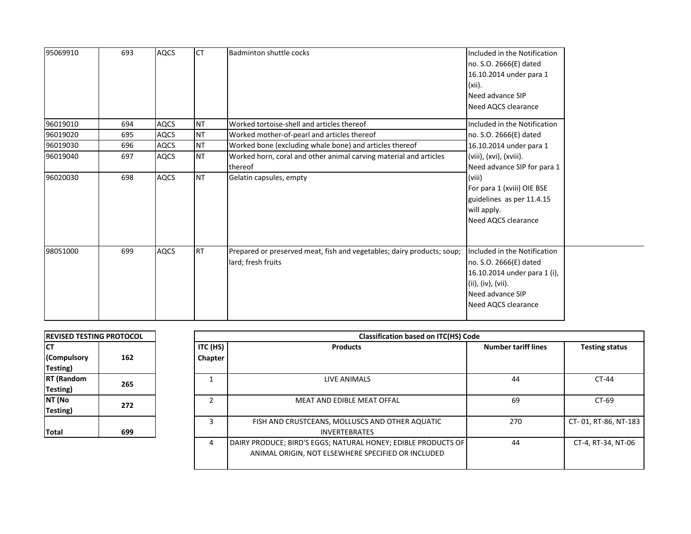| 95069910 | 693 | <b>AQCS</b> | <b>ICT</b> | Badminton shuttle cocks                                                                      | Included in the Notification<br>no. S.O. 2666(E) dated<br>16.10.2014 under para 1<br>$(xii)$ .<br>Need advance SIP<br>Need AQCS clearance               |
|----------|-----|-------------|------------|----------------------------------------------------------------------------------------------|---------------------------------------------------------------------------------------------------------------------------------------------------------|
| 96019010 | 694 | <b>AQCS</b> | <b>NT</b>  | Worked tortoise-shell and articles thereof                                                   | Included in the Notification                                                                                                                            |
| 96019020 | 695 | <b>AQCS</b> | <b>NT</b>  | Worked mother-of-pearl and articles thereof                                                  | no. S.O. 2666(E) dated                                                                                                                                  |
| 96019030 | 696 | <b>AQCS</b> | <b>NT</b>  | Worked bone (excluding whale bone) and articles thereof                                      | 16.10.2014 under para 1                                                                                                                                 |
| 96019040 | 697 | <b>AQCS</b> | <b>NT</b>  | Worked horn, coral and other animal carving material and articles                            | (viii), (xvi), (xviii).                                                                                                                                 |
|          |     |             |            | thereof                                                                                      | Need advance SIP for para 1                                                                                                                             |
| 96020030 | 698 | <b>AQCS</b> | <b>NT</b>  | Gelatin capsules, empty                                                                      | (viii)<br>For para 1 (xviii) OIE BSE<br>guidelines as per 11.4.15<br>will apply.<br>Need AQCS clearance                                                 |
| 98051000 | 699 | <b>AQCS</b> | IRT        | Prepared or preserved meat, fish and vegetables; dairy products; soup;<br>lard; fresh fruits | Included in the Notification<br>no. S.O. 2666(E) dated<br>16.10.2014 under para 1 (i),<br>(ii), (iv), (vii).<br>Need advance SIP<br>Need AQCS clearance |

| <b>REVISED TESTING PROTOCOL</b> |     |  |  |  |
|---------------------------------|-----|--|--|--|
| CТ                              |     |  |  |  |
| (Compulsory                     | 162 |  |  |  |
| Testing)                        |     |  |  |  |
| <b>RT</b> (Random               | 265 |  |  |  |
| Testing)                        |     |  |  |  |
| NT (No                          | 272 |  |  |  |
| Testing)                        |     |  |  |  |
|                                 |     |  |  |  |
| Total                           | 699 |  |  |  |

| <b>Classification based on ITC(HS) Code</b> |                                                                                                                     |                            |                       |  |  |  |  |  |  |
|---------------------------------------------|---------------------------------------------------------------------------------------------------------------------|----------------------------|-----------------------|--|--|--|--|--|--|
| ITC (HS)                                    | <b>Products</b>                                                                                                     | <b>Number tariff lines</b> | <b>Testing status</b> |  |  |  |  |  |  |
| Chapter                                     |                                                                                                                     |                            |                       |  |  |  |  |  |  |
|                                             |                                                                                                                     |                            |                       |  |  |  |  |  |  |
|                                             | LIVE ANIMALS                                                                                                        | 44                         | $CT-44$               |  |  |  |  |  |  |
| $\mathcal{P}$                               | <b>MEAT AND EDIBLE MEAT OFFAL</b>                                                                                   | 69                         | $CT-69$               |  |  |  |  |  |  |
| 3                                           | FISH AND CRUSTCEANS, MOLLUSCS AND OTHER AQUATIC<br><b>INVERTEBRATES</b>                                             | 270                        | CT-01, RT-86, NT-183  |  |  |  |  |  |  |
| 4                                           | DAIRY PRODUCE; BIRD'S EGGS; NATURAL HONEY; EDIBLE PRODUCTS OF<br>ANIMAL ORIGIN, NOT ELSEWHERE SPECIFIED OR INCLUDED | 44                         | CT-4, RT-34, NT-06    |  |  |  |  |  |  |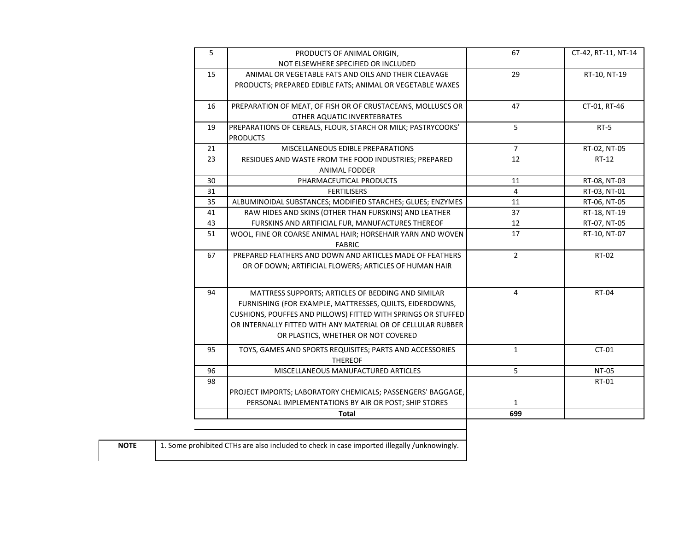| 5  | PRODUCTS OF ANIMAL ORIGIN,                                    | 67             | CT-42, RT-11, NT-14 |
|----|---------------------------------------------------------------|----------------|---------------------|
|    | NOT ELSEWHERE SPECIFIED OR INCLUDED                           |                |                     |
| 15 | ANIMAL OR VEGETABLE FATS AND OILS AND THEIR CLEAVAGE          | 29             | RT-10, NT-19        |
|    | PRODUCTS; PREPARED EDIBLE FATS; ANIMAL OR VEGETABLE WAXES     |                |                     |
| 16 | PREPARATION OF MEAT, OF FISH OR OF CRUSTACEANS, MOLLUSCS OR   | 47             | CT-01, RT-46        |
|    | OTHER AQUATIC INVERTEBRATES                                   |                |                     |
| 19 | PREPARATIONS OF CEREALS, FLOUR, STARCH OR MILK; PASTRYCOOKS'  | 5              | $RT-5$              |
|    | <b>PRODUCTS</b>                                               |                |                     |
| 21 | MISCELLANEOUS EDIBLE PREPARATIONS                             | $\overline{7}$ | RT-02, NT-05        |
| 23 | RESIDUES AND WASTE FROM THE FOOD INDUSTRIES; PREPARED         | 12             | RT-12               |
|    | ANIMAL FODDER                                                 |                |                     |
| 30 | PHARMACEUTICAL PRODUCTS                                       | 11             | RT-08, NT-03        |
| 31 | <b>FERTILISERS</b>                                            | 4              | RT-03, NT-01        |
| 35 | ALBUMINOIDAL SUBSTANCES; MODIFIED STARCHES; GLUES; ENZYMES    | 11             | RT-06, NT-05        |
| 41 | RAW HIDES AND SKINS (OTHER THAN FURSKINS) AND LEATHER         | 37             | RT-18, NT-19        |
| 43 | FURSKINS AND ARTIFICIAL FUR, MANUFACTURES THEREOF             | 12             | RT-07, NT-05        |
| 51 | WOOL, FINE OR COARSE ANIMAL HAIR; HORSEHAIR YARN AND WOVEN    | 17             | RT-10, NT-07        |
|    | <b>FABRIC</b>                                                 |                |                     |
| 67 | PREPARED FEATHERS AND DOWN AND ARTICLES MADE OF FEATHERS      | $\overline{2}$ | RT-02               |
|    | OR OF DOWN; ARTIFICIAL FLOWERS; ARTICLES OF HUMAN HAIR        |                |                     |
|    |                                                               |                |                     |
| 94 | MATTRESS SUPPORTS: ARTICLES OF BEDDING AND SIMILAR            | $\overline{4}$ | <b>RT-04</b>        |
|    | FURNISHING (FOR EXAMPLE, MATTRESSES, QUILTS, EIDERDOWNS,      |                |                     |
|    | CUSHIONS, POUFFES AND PILLOWS) FITTED WITH SPRINGS OR STUFFED |                |                     |
|    | OR INTERNALLY FITTED WITH ANY MATERIAL OR OF CELLULAR RUBBER  |                |                     |
|    | OR PLASTICS, WHETHER OR NOT COVERED                           |                |                     |
| 95 | TOYS, GAMES AND SPORTS REQUISITES; PARTS AND ACCESSORIES      | $\mathbf{1}$   | $CT-01$             |
|    | <b>THEREOF</b>                                                |                |                     |
| 96 | MISCELLANEOUS MANUFACTURED ARTICLES                           | 5              | <b>NT-05</b>        |
| 98 |                                                               |                | RT-01               |
|    | PROJECT IMPORTS; LABORATORY CHEMICALS; PASSENGERS' BAGGAGE,   |                |                     |
|    | PERSONAL IMPLEMENTATIONS BY AIR OR POST; SHIP STORES          | $\mathbf{1}$   |                     |
|    | <b>Total</b>                                                  | 699            |                     |
|    |                                                               |                |                     |

**NOTE** 1. Some prohibited CTHs are also included to check in case imported illegally /unknowingly.